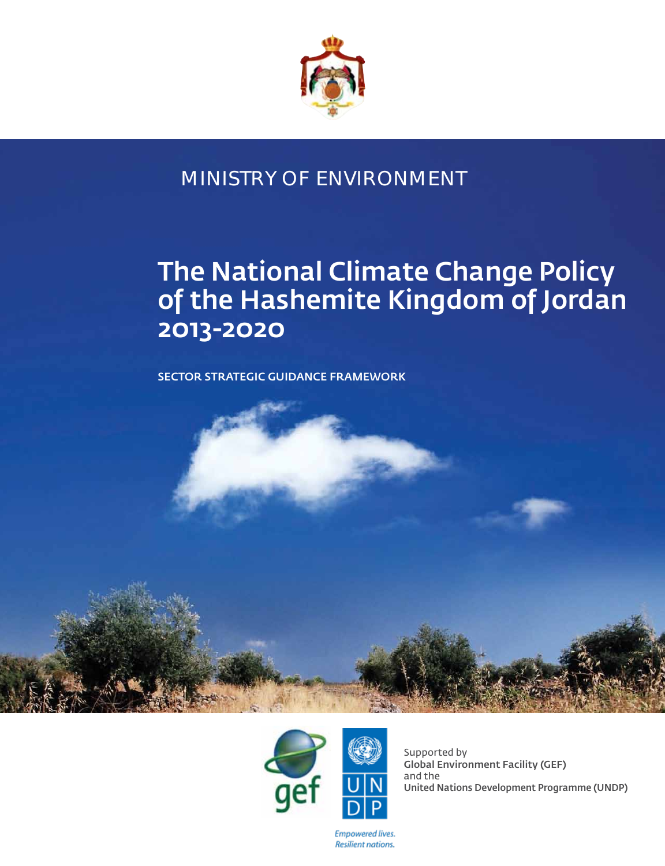

# MINISTRY OF ENVIRONMENT

# The National Climate Change Policy of the Hashemite Kingdom of Jordan 2013-2020

Sector Strategic Guidance Framework





Supported by Global Environment Facility (GEF) and the United Nations Development Programme (UNDP)

**Empowered lives. Resilient nations.**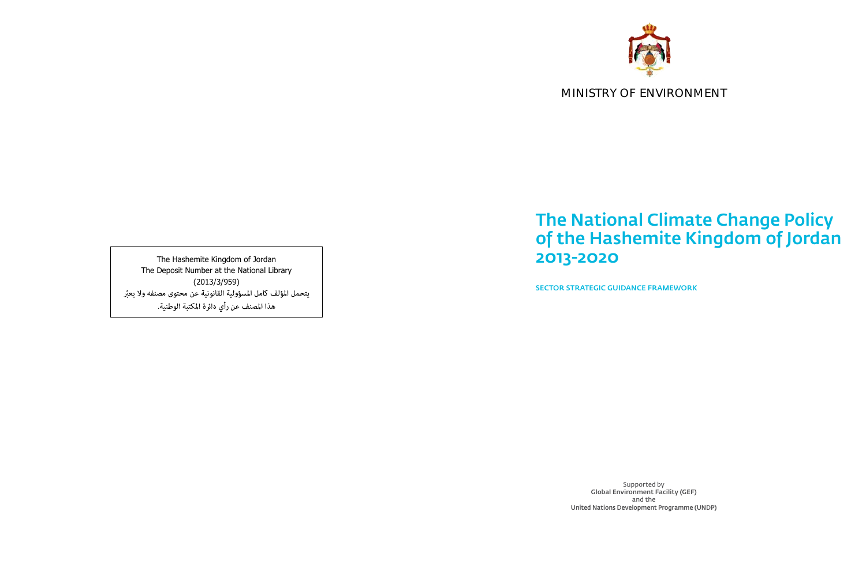# The National Climate Change Policy of the Hashemite Kingdom of Jordan 2013-2020

Sector Strategic Guidance Framework

The Hashemite Kingdom of Jordan The Deposit Number at the National Library (2013/3/959) يتحمل المؤلف كامل المسؤولية القانونية عن محتوى مصنفه ولا يعبّر هذا المصنف عن رأي دائرة المكتبة الوطنية.

> Supported by Global Environment Facility (GEF) and the United Nations Development Programme (UNDP)





# MINISTRY OF ENVIRONMENT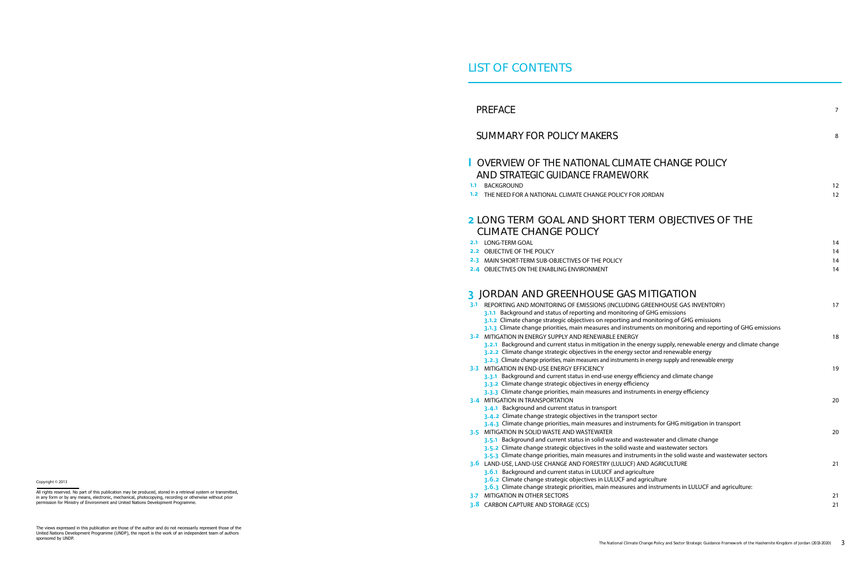# PREFACE

٦

# SUMMARY FOR POLICY MAKERS

## I OVERVIEW OF THE NATIONAL CLIMATE AND STRATEGIC GUIDANCE FRAMEWOR 1.1 BACKGROUND

1.2 THE NEED FOR A NATIONAL CLIMATE CHANGE POLICY FOR

# **2 LONG TERM GOAL AND SHORT TE** CLIMATE CHANGE POLICY

- 2.1 LONG-TERM GOAL
- 2.2 OBJECTIVE OF THE POLICY
- 2.3 MAIN SHORT-TERM SUB-OBJECTIVES OF THE POLICY
- 2.4 OBJECTIVES ON THE ENABLING ENVIRONMENT

# 3 JORDAN AND GREENHOUSE GAS

- 3.1 REPORTING AND MONITORING OF EMISSIONS (INCLUDING 3.1.1 Background and status of reporting and monitoring
	- 3.1.2 Climate change strategic objectives on reporting and 3.1.3 Climate change priorities, main measures and instrum
- **3.2 MITIGATION IN ENERGY SUPPLY AND RENEWABLE ENERGY**
- 3.2.1 Background and current status in mitigation in the energy supply
- 3.2.2 Climate change strategic objectives in the energy se
- 3.2.3 Climate change priorities, main measures and instruments
- **3.3 MITIGATION IN END-USE ENERGY EFFICIENCY** 
	- 3.3.1 Background and current status in end-use energy ef
	- 3.3.2 Climate change strategic objectives in energy efficie
	- 3.3.3 Climate change priorities, main measures and instru
- 3.4 MITIGATION IN TRANSPORTATION
	- 3.4.1 Background and current status in transport
	- 3.4.2 Climate change strategic objectives in the transport
	- 3.4.3 Climate change priorities, main measures and instruments for GHG
- **3.5 MITIGATION IN SOLID WASTE AND WASTEWATER** 
	- 3.5.1 Background and current status in solid waste and waster and climate change change change change and  $\alpha$
	- 3.5.2 Climate change strategic objectives in the solid wast
	- 3.5.3 Climate change priorities, main measures and instru
- 3.6 LAND-USE, LAND-USE CHANGE AND FORESTRY (LULUCF) AND 3.6.1 Background and current status in LULUCF and agricultural
	- 3.6.2 Climate change strategic objectives in LULUCF and a 3.6.3 Climate change strategic priorities, main measures and instruments in
	-
- 3-7 MITIGATION IN OTHER SECTORS
- 3.8 CARBON CAPTURE AND STORAGE (CCS) 21

|                                                                                                                                        | 8                    |
|----------------------------------------------------------------------------------------------------------------------------------------|----------------------|
| <b>TE CHANGE POLICY</b><br>RK                                                                                                          |                      |
| <b>JORDAN</b>                                                                                                                          | 12<br>12             |
| <b>RM OBJECTIVES OF THE</b>                                                                                                            |                      |
|                                                                                                                                        | 14<br>14<br>14<br>14 |
| MITIGATION<br>GREENHOUSE GAS INVENTORY)<br>of GHG emissions<br>d monitoring of GHG emissions                                           | 17                   |
| ments on monitoring and reporting of GHG emissions<br>energy supply, renewable energy and climate change<br>ector and renewable energy | 18                   |
| in energy supply and renewable energy<br>fficiency and climate change                                                                  | 19                   |
| ency<br>ments in energy efficiency                                                                                                     | 20                   |
| t sector<br>iments for GHG mitigation in transport                                                                                     | 20                   |
| astewater and climate change<br>te and wastewater sectors<br>ments in the solid waste and wastewater sectors<br><b>AND AGRICULTURE</b> |                      |
| ulture<br>agriculture<br>and instruments in LULUCF and agriculture:                                                                    | 21                   |
|                                                                                                                                        | 21                   |

Copyright © 2013

All rights reserved. No part of this publication may be produced, stored in a retrieval system or transmitted, in any form or by any means, electronic, mechanical, photocopying, recording or otherwise without prior permission for Ministry of Environment and United Nations Development Programme.

The views expressed in this publication are those of the author and do not necessarily represent those of the United Nations Development Programme (UNDP), the report is the work of an independent team of authors sponsored by UNDP.

7

# LIST OF CONTENTS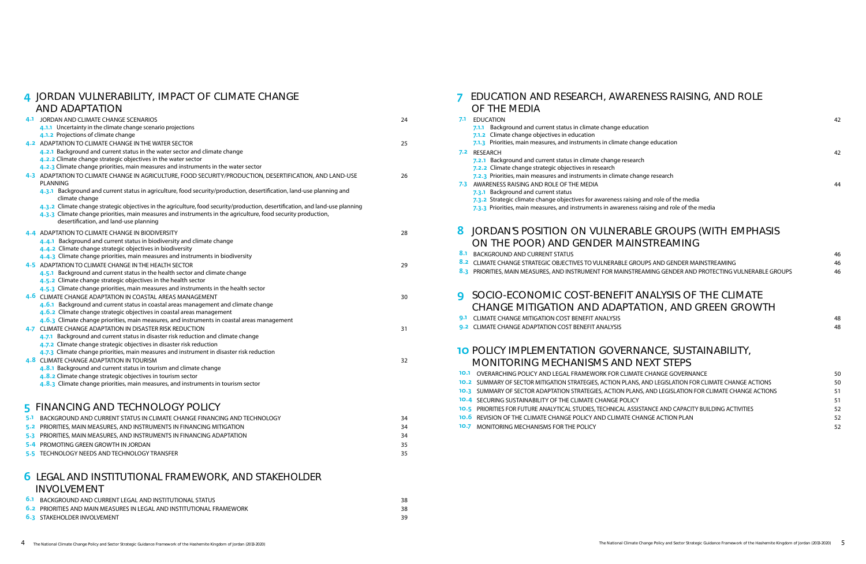# 7 EDUCATION AND RESEARCH, AWARENESS RAISING, AND ROLE OF THE MEDIA

|   | <b>7.1 EDUCATION</b><br>7.1.1 Background and current status in climate change education<br>7.1.2 Climate change objectives in education                                                                                                                                                               | 42       |
|---|-------------------------------------------------------------------------------------------------------------------------------------------------------------------------------------------------------------------------------------------------------------------------------------------------------|----------|
|   | 7.1.3 Priorities, main measures, and instruments in climate change education<br>7.2 RESEARCH<br>7.2.1 Background and current status in climate change research<br>7.2.2 Climate change strategic objectives in research<br>7.2.3 Priorities, main measures and instruments in climate change research | 42       |
|   | 7-3 AWARENESS RAISING AND ROLE OF THE MEDIA<br>7.3.1 Background and current status<br>7.3.2 Strategic climate change objectives for awareness raising and role of the media<br>7.3.3 Priorities, main measures, and instruments in awareness raising and role of the media                            | 44       |
| 8 | JORDAN'S POSITION ON VULNERABLE GROUPS (WITH EMPHASIS<br>ON THE POOR) AND GENDER MAINSTREAMING<br>8.1 BACKGROUND AND CURRENT STATUS                                                                                                                                                                   |          |
|   | 8.2 CLIMATE CHANGE STRATEGIC OBJECTIVES TO VULNERABLE GROUPS AND GENDER MAINSTREAMING                                                                                                                                                                                                                 | 46<br>46 |
|   | 8.3 PRIORITIES, MAIN MEASURES, AND INSTRUMENT FOR MAINSTREAMING GENDER AND PROTECTING VULNERABLE GROUPS                                                                                                                                                                                               | 46       |
| q | SOCIO-ECONOMIC COST-BENEFIT ANALYSIS OF THE CLIMATE                                                                                                                                                                                                                                                   |          |
|   | CHANGE MITIGATION AND ADAPTATION, AND GREEN GROWTH                                                                                                                                                                                                                                                    |          |
|   | 9.1 CLIMATE CHANGE MITIGATION COST BENEFIT ANALYSIS                                                                                                                                                                                                                                                   | 48       |
|   | 9.2 CLIMATE CHANGE ADAPTATION COST BENEFIT ANALYSIS                                                                                                                                                                                                                                                   | 48       |
|   | <b>10 POLICY IMPLEMENTATION GOVERNANCE, SUSTAINABILITY,</b>                                                                                                                                                                                                                                           |          |
|   | MONITORING MECHANISMS AND NEXT STEPS                                                                                                                                                                                                                                                                  |          |
|   | <b>10.1 OVERARCHING POLICY AND LEGAL FRAMEWORK FOR CLIMATE CHANGE GOVERNANCE</b>                                                                                                                                                                                                                      | 50       |
|   | 10.2 SUMMARY OF SECTOR MITIGATION STRATEGIES, ACTION PLANS, AND LEGISLATION FOR CLIMATE CHANGE ACTIONS<br>10.3 SUMMARY OF SECTOR ADAPTATION STRATEGIES, ACTION PLANS, AND LEGISLATION FOR CLIMATE CHANGE ACTIONS                                                                                      | 50<br>51 |
|   | <b>10.4 SECURING SUSTAINABILITY OF THE CLIMATE CHANGE POLICY</b>                                                                                                                                                                                                                                      | 51       |
|   | 10.5 PRIORITIES FOR FUTURE ANALYTICAL STUDIES, TECHNICAL ASSISTANCE AND CAPACITY BUILDING ACTIVITIES                                                                                                                                                                                                  | 52       |
|   | <b>10.6 REVISION OF THE CLIMATE CHANGE POLICY AND CLIMATE CHANGE ACTION PLAN</b>                                                                                                                                                                                                                      | 52       |
|   | <b>10.7 MONITORING MECHANISMS FOR THE POLICY</b>                                                                                                                                                                                                                                                      | 52       |
|   |                                                                                                                                                                                                                                                                                                       |          |

## 4 JORDAN VULNERABILITY, IMPACT OF CLIMATE CHANGE AND ADAPTATION

|     | AND ADAFTATION                                                                                                                         |    |
|-----|----------------------------------------------------------------------------------------------------------------------------------------|----|
|     | 4.1 JORDAN AND CLIMATE CHANGE SCENARIOS                                                                                                | 24 |
|     | 4.1.1 Uncertainty in the climate change scenario projections                                                                           |    |
|     | 4.1.2 Projections of climate change                                                                                                    |    |
|     | 4.2 ADAPTATION TO CLIMATE CHANGE IN THE WATER SECTOR                                                                                   | 25 |
|     | 4.2.1 Background and current status in the water sector and climate change                                                             |    |
|     | 4.2.2 Climate change strategic objectives in the water sector                                                                          |    |
|     | 4.2.3 Climate change priorities, main measures and instruments in the water sector                                                     |    |
|     | 4-3 ADAPTATION TO CLIMATE CHANGE IN AGRICULTURE, FOOD SECURITY/PRODUCTION, DESERTIFICATION, AND LAND-USE<br><b>PLANNING</b>            | 26 |
|     | 4.3.1 Background and current status in agriculture, food security/production, desertification, land-use planning and<br>climate change |    |
|     | 4.3.2 Climate change strategic objectives in the agriculture, food security/production, desertification, and land-use planning         |    |
|     | 4.3.3 Climate change priorities, main measures and instruments in the agriculture, food security production,                           |    |
|     | desertification, and land-use planning                                                                                                 |    |
|     | 4.4 ADAPTATION TO CLIMATE CHANGE IN BIODIVERSITY                                                                                       | 28 |
|     | 4.4.1 Background and current status in biodiversity and climate change                                                                 |    |
|     | 4.4.2 Climate change strategic objectives in biodiversity                                                                              |    |
|     | 4.4.3 Climate change priorities, main measures and instruments in biodiversity                                                         |    |
|     | 4-5 ADAPTATION TO CLIMATE CHANGE IN THE HEALTH SECTOR                                                                                  | 29 |
|     | 4.5.1 Background and current status in the health sector and climate change                                                            |    |
|     | 4.5.2 Climate change strategic objectives in the health sector                                                                         |    |
|     | 4.5.3 Climate change priorities, main measures and instruments in the health sector                                                    |    |
|     | 4.6 CLIMATE CHANGE ADAPTATION IN COASTAL AREAS MANAGEMENT                                                                              | 30 |
|     | 4.6.1 Background and current status in coastal areas management and climate change                                                     |    |
|     | 4.6.2 Climate change strategic objectives in coastal areas management                                                                  |    |
|     | 4.6.3 Climate change priorities, main measures, and instruments in coastal areas management                                            |    |
|     | 4.7 CLIMATE CHANGE ADAPTATION IN DISASTER RISK REDUCTION                                                                               | 31 |
|     | 4.7.1 Background and current status in disaster risk reduction and climate change                                                      |    |
|     | 4.7.2 Climate change strategic objectives in disaster risk reduction                                                                   |    |
|     | 4.7.3 Climate change priorities, main measures and instrument in disaster risk reduction<br>4.8 CLIMATE CHANGE ADAPTATION IN TOURISM   | 32 |
|     | 4.8.1 Background and current status in tourism and climate change                                                                      |    |
|     | 4.8.2 Climate change strategic objectives in tourism sector                                                                            |    |
|     | 4.8.3 Climate change priorities, main measures, and instruments in tourism sector                                                      |    |
|     |                                                                                                                                        |    |
|     | <b>5 FINANCING AND TECHNOLOGY POLICY</b>                                                                                               |    |
| 5.1 | BACKGROUND AND CURRENT STATUS IN CLIMATE CHANGE FINANCING AND TECHNOLOGY                                                               | 34 |
|     | 5.2 PRIORITIES, MAIN MEASURES, AND INSTRUMENTS IN FINANCING MITIGATION                                                                 | 34 |
|     | 5-3 PRIORITIES, MAIN MEASURES, AND INSTRUMENTS IN FINANCING ADAPTATION                                                                 | 34 |
|     | 5-4 PROMOTING GREEN GROWTH IN JORDAN                                                                                                   | 35 |
|     |                                                                                                                                        |    |

5.5 TECHNOLOGY NEEDS AND TECHNOLOGY TRANSFER 35

# 6 LEGAL AND INSTITUTIONAL FRAMEWORK, AND STAKEHOLDER INVOLVEMENT

| <b>6.1 BACKGROUND AND CURRENT LEGAL AND INSTITUTIONAL STATUS</b>      |  |
|-----------------------------------------------------------------------|--|
| 6.2 PRIORITIES AND MAIN MEASURES IN LEGAL AND INSTITUTIONAL FRAMEWORK |  |
| <b>6.3 STAKEHOLDER INVOLVEMENT</b>                                    |  |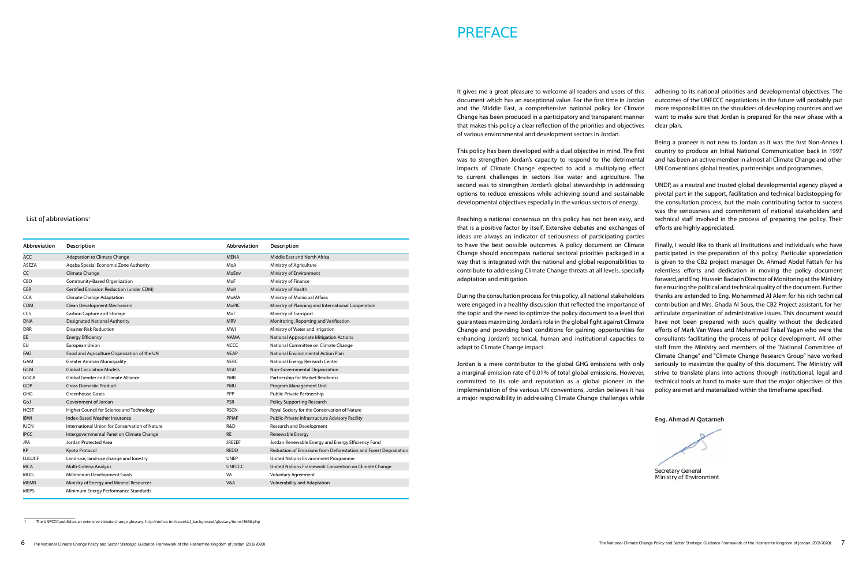It gives me a great pleasure to welcome all readers and users of this document which has an exceptional value. For the first time in Jordan and the Middle East, a comprehensive national policy for Climate Change has been produced in a participatory and transparent manner that makes this policy a clear reflection of the priorities and objectives of various environmental and development sectors in Jordan. adhering to its national priorities and developmental objectives. The outcomes of the UNFCCC negotiations in the future will probably put more responsibilities on the shoulders of developing countries and we want to make sure that Jordan is prepared for the new phase with a clear plan.

to have the best possible outcomes. A policy document on Climate Change should encompass national sectoral priorities packaged in a way that is integrated with the national and global responsibilities to contribute to addressing Climate Change threats at all levels, specially adaptation and mitigation. During the consultation process for this policy, all national stakeholders were engaged in a healthy discussion that reflected the importance of the topic and the need to optimize the policy document to a level that guarantees maximizing Jordan's role in the global fight against Climate Change and providing best conditions for gaining opportunities for enhancing Jordan's technical, human and institutional capacities to adapt to Climate Change impact. Jordan is a mere contributor to the global GHG emissions with only a marginal emission rate of 0.01% of total global emissions. However, committed to its role and reputation as a global pioneer in the implementation of the various UN conventions, Jordan believes it has

This policy has been developed with a dual objective in mind. The first was to strengthen Jordan's capacity to respond to the detrimental impacts of Climate Change expected to add a multiplying effect to current challenges in sectors like water and agriculture. The second was to strengthen Jordan's global stewardship in addressing options to reduce emissions while achieving sound and sustainable developmental objectives especially in the various sectors of energy. Being a pioneer is not new to Jordan as it was the first Non-Annex I country to produce an Initial National Communication back in 1997 and has been an active member in almost all Climate Change and other UN Conventions' global treaties, partnerships and programmes. UNDP, as a neutral and trusted global developmental agency played a

a major responsibility in addressing Climate Change challenges while

List of abbreviations<sup>1</sup>

Reaching a national consensus on this policy has not been easy, and that is a positive factor by itself. Extensive debates and exchanges of ideas are always an indicator of seriousness of participating parties efforts are highly appreciated. Finally, I would like to thank all institutions and individuals who have participated in the preparation of this policy. Particular appreciation is given to the CB2 project manager Dr. Ahmad Abdel Fattah for his relentless efforts and dedication in moving the policy document forward, and Eng. Hussein Badarin Director of Monitoring at the Ministry for ensuring the political and technical quality of the document. Further thanks are extended to Eng. Mohammad Al Alem for his rich technical contribution and Mrs. Ghada Al Sous, the CB2 Project assistant, for her articulate organization of administrative issues. This document would have not been prepared with such quality without the dedicated efforts of Mark Van Wees and Mohammad Faisal Yagan who were the consultants facilitating the process of policy development. All other staff from the Ministry and members of the "National Committee of Climate Change" and "Climate Change Research Group" have worked seriously to maximize the quality of this document. The Ministry will strive to translate plans into actions through institutional, legal and technical tools at hand to make sure that the major objectives of this policy are met and materialized within the timeframe specified.

pivotal part in the support, facilitation and technical backstopping for the consultation process, but the main contributing factor to success was the seriousness and commitment of national stakeholders and technical staff involved in the process of preparing the policy. Their

Eng. Ahmad Al Qatarneh

Secretary General

Ministry of Environment

# PREFACE

| Abbreviation  | Description                                    | Abbreviation  | Description                                                      |
|---------------|------------------------------------------------|---------------|------------------------------------------------------------------|
| <b>ACC</b>    | <b>Adaptation to Climate Change</b>            | <b>MENA</b>   | Middle East and North Africa                                     |
| <b>ASEZA</b>  | Agaba Special Economic Zone Authority          | MoA           | Ministry of Agriculture                                          |
| CC            | Climate Change                                 | MoEnv         | Ministry of Environment                                          |
| CBO           | Community-Based Organization                   | MoF           | Ministry of Finance                                              |
| <b>CER</b>    | Certified Emission Reduction (under CDM)       | MoH           | Ministry of Health                                               |
| <b>CCA</b>    | Climate Change Adaptation                      | MoMA          | Ministry of Municipal Affairs                                    |
| <b>CDM</b>    | Clean Development Mechanism                    | <b>MoPIC</b>  | Ministry of Planning and International Cooperation               |
| <b>CCS</b>    | Carbon Capture and Storage                     | MoT           | Ministry of Transport                                            |
| <b>DNA</b>    | <b>Designated National Authority</b>           | <b>MRV</b>    | Monitoring, Reporting and Verification                           |
| <b>DRR</b>    | <b>Disaster Risk Reduction</b>                 | <b>MWI</b>    | Ministry of Water and Irrigation                                 |
| <b>EE</b>     | <b>Energy Efficiency</b>                       | <b>NAMA</b>   | National Appropriate Mitigation Actions                          |
| EU            | European Union                                 | <b>NCCC</b>   | National Committee on Climate Change                             |
| <b>FAO</b>    | Food and Agriculture Organization of the UN    | <b>NEAP</b>   | National Environmental Action Plan                               |
| GAM           | <b>Greater Amman Municipality</b>              | <b>NERC</b>   | National Energy Research Center                                  |
| GCM           | <b>Global Circulation Models</b>               | <b>NGO</b>    | Non-Governmental Organization                                    |
| <b>GGCA</b>   | <b>Global Gender and Climate Alliance</b>      | <b>PMR</b>    | Partnership for Market Readiness                                 |
| GDP           | <b>Gross Domestic Product</b>                  | PMU           | Program Management Unit                                          |
| <b>GHG</b>    | <b>Greenhouse Gases</b>                        | PPP           | Public-Private Partnership                                       |
| GoJ           | Government of Jordan                           | <b>PSR</b>    | Policy Supporting Research                                       |
| <b>HCST</b>   | Higher Council for Science and Technology      | <b>RSCN</b>   | Royal Society for the Conservation of Nature                     |
| <b>IBWI</b>   | Index-Based Weather Insurance                  | PPIAF         | Public-Private Infrastructure Advisory Facility                  |
| <b>IUCN</b>   | International Union for Conservation of Nature | R&D           | <b>Research and Development</b>                                  |
| <b>IPCC</b>   | Intergovernmental Panel on Climate Change      | <b>RE</b>     | Renewable Energy                                                 |
| <b>JPA</b>    | Jordan Protected Area                          | <b>JREEEF</b> | Jordan Renewable Energy and Energy Efficiency Fund               |
| KP            | Kyoto Protocol                                 | <b>REDD</b>   | Reduction of Emissions from Deforestation and Forest Degradation |
| <b>LULUCF</b> | Land-use, land-use change and forestry         | <b>UNEP</b>   | United Nations Environment Programme                             |
| <b>MCA</b>    | Multi-Criteria Analysis                        | <b>UNFCCC</b> | United Nations Framework Convention on Climate Change            |
| <b>MDG</b>    | Millennium Development Goals                   | VA            | <b>Voluntary Agreement</b>                                       |
| <b>MEMR</b>   | Ministry of Energy and Mineral Resources       | V&A           | Vulnerability and Adaptation                                     |
| <b>MEPS</b>   | Minimum Energy Performance Standards           |               |                                                                  |

1 The UNFCCC publishes an extensive climate change glossary: http://unfccc.int/essential\_background/glossary/items/3666.php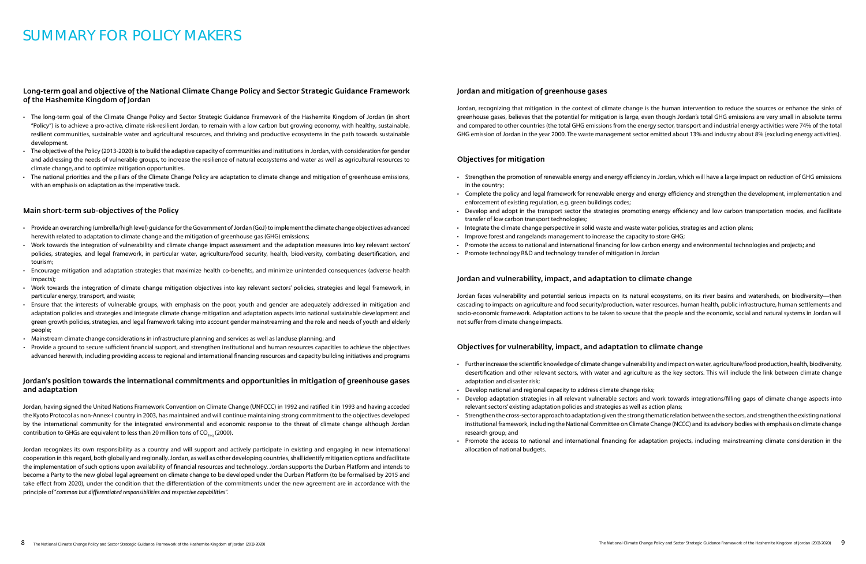#### Long-term goal and objective of the National Climate Change Policy and Sector Strategic Guidance Framework of the Hashemite Kingdom of Jordan

- • The long-term goal of the Climate Change Policy and Sector Strategic Guidance Framework of the Hashemite Kingdom of Jordan (in short "Policy") is to achieve a pro-active, climate risk-resilient Jordan, to remain with a low carbon but growing economy, with healthy, sustainable, resilient communities, sustainable water and agricultural resources, and thriving and productive ecosystems in the path towards sustainable development.
- • The objective of the Policy (2013-2020) isto build the adaptive capacity of communities and institutionsin Jordan, with consideration for gender and addressing the needs of vulnerable groups, to increase the resilience of natural ecosystems and water as well as agricultural resources to climate change, and to optimize mitigation opportunities.
- • The national priorities and the pillars of the Climate Change Policy are adaptation to climate change and mitigation of greenhouse emissions, with an emphasis on adaptation as the imperative track.

#### Main short-term sub-objectives of the Policy

Jordan, having signed the United Nations Framework Convention on Climate Change (UNFCCC) in 1992 and ratified it in 1993 and having acceded the Kyoto Protocol as non-Annex-I country in 2003, has maintained and will continue maintaining strong commitment to the objectives developed by the international community for the integrated environmental and economic response to the threat of climate change although Jordan contribution to GHGs are equivalent to less than 20 million tons of  $CO<sub>2000</sub>$ .

- • Provide an overarching (umbrella/high level) guidance fortheGovernment ofJordan (GoJ)to implementthe climate change objectives advanced herewith related to adaptation to climate change and the mitigation of greenhouse gas (GHG) emissions;
- • Work towards the integration of vulnerability and climate change impact assessment and the adaptation measures into key relevant sectors' policies, strategies, and legal framework, in particular water, agriculture/food security, health, biodiversity, combating desertification, and tourism;
- • Encourage mitigation and adaptation strategies that maximize health co-benefits, and minimize unintended consequences (adverse health impacts);
- • Work towards the integration of climate change mitigation objectives into key relevant sectors' policies, strategies and legal framework, in particular energy, transport, and waste;
- • Ensure that the interests of vulnerable groups, with emphasis on the poor, youth and gender are adequately addressed in mitigation and adaptation policies and strategies and integrate climate change mitigation and adaptation aspects into national sustainable development and green growth policies, strategies, and legal framework taking into account gender mainstreaming and the role and needs of youth and elderly people;
- Mainstream climate change considerations in infrastructure planning and services as well as landuse planning; and
- • Provide a ground to secure sufficient financial support, and strengthen institutional and human resources capacities to achieve the objectives advanced herewith, including providing access to regional and international financing resources and capacity building initiatives and programs
- in the country;
- enforcement of existing regulation, e.g. green buildings codes;
- transfer of low carbon transport technologies;
- Integrate the climate change perspective in solid waste and waste water policies, strategies and action plans;
- Improve forest and rangelands management to increase the capacity to store GHG;
- 
- Promote technology R&D and technology transfer of mitigation in Jordan

#### Jordan's position towards the international commitments and opportunities in mitigation of greenhouse gases and adaptation

Jordan recognizes its own responsibility as a country and will support and actively participate in existing and engaging in new international cooperation in this regard, both globally and regionally. Jordan, as well as other developing countries, shall identify mitigation options and facilitate the implementation of such options upon availability of financial resources and technology. Jordan supports the Durban Platform and intends to become a Party to the new global legal agreement on climate change to be developed under the Durban Platform (to be formalised by 2015 and take effect from 2020), under the condition that the differentiation of the commitments under the new agreement are in accordance with the principle of "*common but differentiated responsibilities and respective capabilities*".

#### Jordan and mitigation of greenhouse gases

Jordan, recognizing that mitigation in the context of climate change is the human intervention to reduce the sources or enhance the sinks of greenhouse gases, believes that the potential for mitigation is large, even though Jordan's total GHG emissions are very small in absolute terms and compared to other countries (the total GHG emissions from the energy sector, transport and industrial energy activities were 74% of the total GHG emission of Jordan in the year 2000. The waste management sector emitted about 13% and industry about 8% {excluding energy activities}.

#### Objectives for mitigation

• Strengthen the promotion of renewable energy and energy efficiency in Jordan, which will have a large impact on reduction of GHG emissions

• Complete the policy and legal framework for renewable energy and energy efficiency and strengthen the development, implementation and

• Develop and adopt in the transport sector the strategies promoting energy efficiency and low carbon transportation modes, and facilitate

• Promote the access to national and international financing for low carbon energy and environmental technologies and projects; and

#### Jordan and vulnerability, impact, and adaptation to climate change

Jordan faces vulnerability and potential serious impacts on its natural ecosystems, on its river basins and watersheds, on biodiversity—then cascading to impacts on agriculture and food security/production, water resources, human health, public infrastructure, human settlements and socio-economic framework. Adaptation actions to be taken to secure that the people and the economic, social and natural systems in Jordan will not suffer from climate change impacts.

#### Objectives for vulnerability, impact, and adaptation to climate change

• Further increase the scientific knowledge of climate change vulnerability and impact on water, agriculture/food production, health, biodiversity, desertification and other relevant sectors, with water and agriculture as the key sectors. This will include the link between climate change

• Develop adaptation strategies in all relevant vulnerable sectors and work towards integrations/filling gaps of climate change aspects into

- adaptation and disaster risk;
- Develop national and regional capacity to address climate change risks;
- relevant sectors' existing adaptation policies and strategies as well as action plans;
- research group; and
- allocation of national budgets.

• Strengthen the cross-sector approach to adaptation given the strong thematic relation between the sectors, and strengthen the existing national institutional framework, including the National Committee on Climate Change (NCCC) and its advisory bodies with emphasis on climate change

• Promote the access to national and international financing for adaptation projects, including mainstreaming climate consideration in the

# Summary for policy makers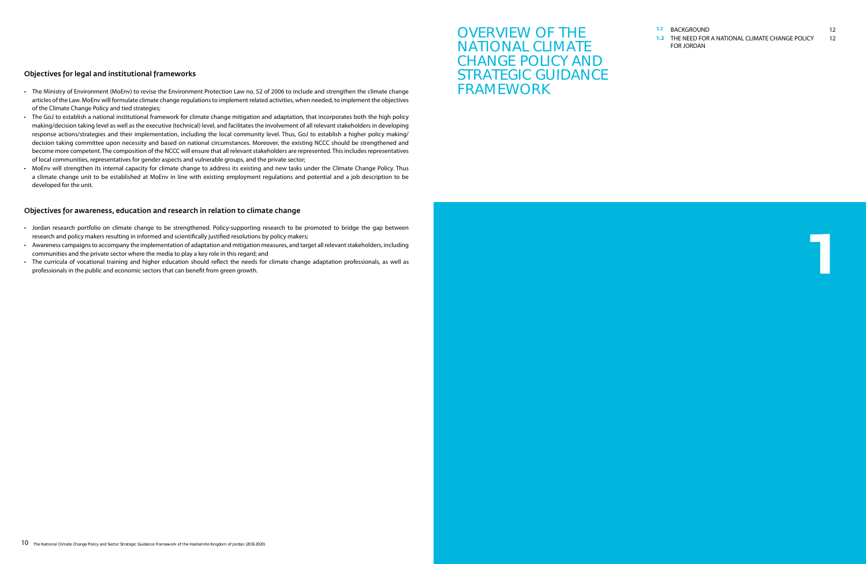# OVERVIEW OF THE NATIONAL CLIMATE CHANGE POLICY AND STRATEGIC GUIDANCE FRAMEWORK

#### 1.1 BACKGROUND 12

| <b>1.2 THE NEED FOR A NATIONAL CLIMATE CHANGE POLICY</b> | 12 |
|----------------------------------------------------------|----|
| FOR JORDAN                                               |    |

1

#### Objectives for legal and institutional frameworks

- • The Ministry of Environment (MoEnv) to revise the Environment Protection Law no. 52 of 2006 to include and strengthen the climate change articles of the Law. MoEnv will formulate climate change regulations to implement related activities, when needed, to implement the objectives of the Climate Change Policy and tied strategies;
- The GoJ to establish a national institutional framework for climate change mitigation and adaptation, that incorporates both the high policy making/decision taking level as well as the executive (technical) level, and facilitates the involvement of all relevant stakeholders in developing response actions/strategies and their implementation, including the local community level. Thus, GoJ to establish a higher policy making/ decision taking committee upon necessity and based on national circumstances. Moreover, the existing NCCC should be strengthened and become more competent. The composition of the NCCC will ensure that all relevant stakeholders are represented. This includes representatives of local communities, representatives for gender aspects and vulnerable groups, and the private sector;
- • MoEnv will strengthen its internal capacity for climate change to address its existing and new tasks under the Climate Change Policy. Thus a climate change unit to be established at MoEnv in line with existing employment regulations and potential and a job description to be developed for the unit.

- Jordan research portfolio on climate change to be strengthened. Policy-supporting research to be promoted to bridge the gap between research and policy makers resulting in informed and scientifically justified resolutions by policy makers;
- Awareness campaigns to accompany the implementation of adaptation and mitigation measures, and target all relevant stakeholders, including communities and the private sector where the media to play a key role in this regard; and
- The curricula of vocational training and higher education should reflect the needs for climate change adaptation professionals, as well as professionals in the public and economic sectors that can benefit from green growth.

### Objectives for awareness, education and research in relation to climate change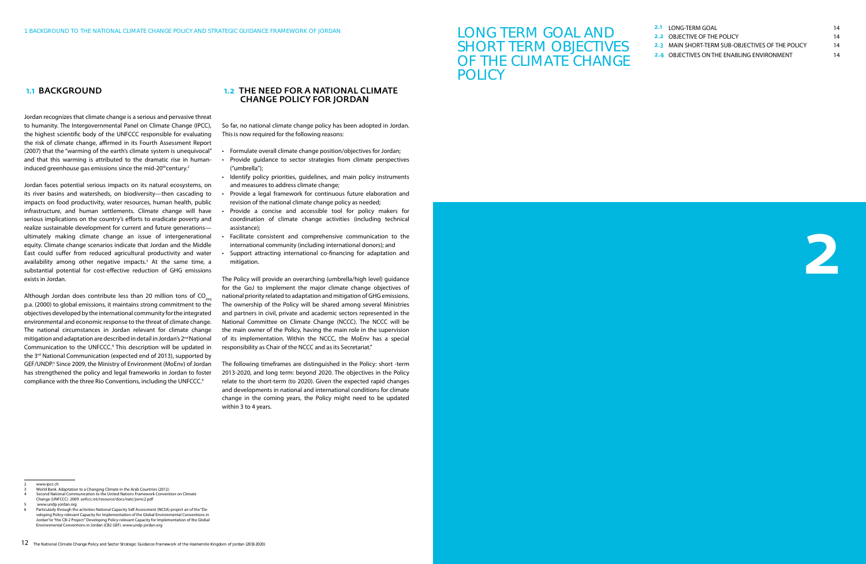| <b>2.1 LONG-TERM GOAL</b>                               | 14 |
|---------------------------------------------------------|----|
| <b>2.2 OBJECTIVE OF THE POLICY</b>                      | 14 |
| <b>2.3 MAIN SHORT-TERM SUB-OBJECTIVES OF THE POLICY</b> | 14 |
| 2.4 OBJECTIVES ON THE ENABLING ENVIRONMENT              | 14 |

Jordan recognizes that climate change is a serious and pervasive threat to humanity. The Intergovernmental Panel on Climate Change (IPCC), the highest scientific body of the UNFCCC responsible for evaluating the risk of climate change, affirmed in its Fourth Assessment Report (2007) that the "warming of the earth's climate system is unequivocal" and that this warming is attributed to the dramatic rise in humaninduced greenhouse gas emissions since the mid-20<sup>th</sup>century.<sup>2</sup>

# LONG TERM GOAL AND SHORT TERM OBJECTIVES OF THE CLIMATE CHANGE POLICY



#### 1.1 BACKGROUND

Jordan faces potential serious impacts on its natural ecosystems, on its river basins and watersheds, on biodiversity—then cascading to impacts on food productivity, water resources, human health, public infrastructure, and human settlements. Climate change will have serious implications on the country's efforts to eradicate poverty and realize sustainable development for current and future generations ultimately making climate change an issue of intergenerational equity. Climate change scenarios indicate that Jordan and the Middle East could suffer from reduced agricultural productivity and water availability among other negative impacts.<sup>3</sup> At the same time, a substantial potential for cost-effective reduction of GHG emissions exists in Jordan.

Although Jordan does contribute less than 20 million tons of  $CO<sub>200</sub>$ p.a. (2000) to global emissions, it maintains strong commitment to the objectives developed by the international community for the integrated environmental and economic response to the threat of climate change. The national circumstances in Jordan relevant for climate change mitigation and adaptation are described in detail in Jordan's 2nd National Communication to the UNFCCC.<sup>4</sup> This description will be updated in the 3<sup>rd</sup> National Communication (expected end of 2013), supported by GEF/UNDP.<sup>5</sup> Since 2009, the Ministry of Environment (MoEnv) of Jordan has strengthened the policy and legal frameworks in Jordan to foster compliance with the three Rio Conventions, including the UNFCCC.<sup>6</sup>

#### 1.2 The need for a National Climate Change Policy for Jordan

So far, no national climate change policy has been adopted in Jordan. This is now required for the following reasons:

Particularly through the activities National Capacity Self Assessment (NCSA) project an of the "Developing Policy-relevant Capacity for Implementation of the Global Environmental Conventions in Jordan"or "the CB-2 Project." Developing Policy-relevant Capacity for Implementation of the Global Environmental Conventions in Jordan (CB2 GEF). www.undp-jordan.org

- • Formulate overall climate change position/objectives for Jordan;
- Provide quidance to sector strategies from climate perspectives ("umbrella");
- Identify policy priorities, quidelines, and main policy instruments and measures to address climate change;
- Provide a legal framework for continuous future elaboration and revision of the national climate change policy as needed;
- Provide a concise and accessible tool for policy makers for coordination of climate change activities (including technical assistance);
- Facilitate consistent and comprehensive communication to the international community (including international donors); and
- Support attracting international co-financing for adaptation and mitigation.

The Policy will provide an overarching (umbrella/high level) guidance for the GoJ to implement the major climate change objectives of national priority related to adaptation and mitigation of GHG emissions. The ownership of the Policy will be shared among several Ministries and partners in civil, private and academic sectors represented in the National Committee on Climate Change (NCCC). The NCCC will be the main owner of the Policy, having the main role in the supervision of its implementation. Within the NCCC, the MoEnv has a special responsibility as Chair of the NCCC and as its Secretariat."

The following timeframes are distinguished in the Policy: short -term 2013-2020, and long term: beyond 2020. The objectives in the Policy relate to the short-term (to 2020). Given the expected rapid changes and developments in national and international conditions for climate change in the coming years, the Policy might need to be updated within 3 to 4 years.

www.ipcc.ch

Second National Communication to the United Nations Framework Convention on Climate Change (UNFCCC). 2009. unfccc.int/resource/docs/natc/jornc2.pdf

<sup>3</sup> World Bank. Adaptation to a Changing Climate in the Arab Countries (2012)

<sup>5</sup> www.undp-jordan.org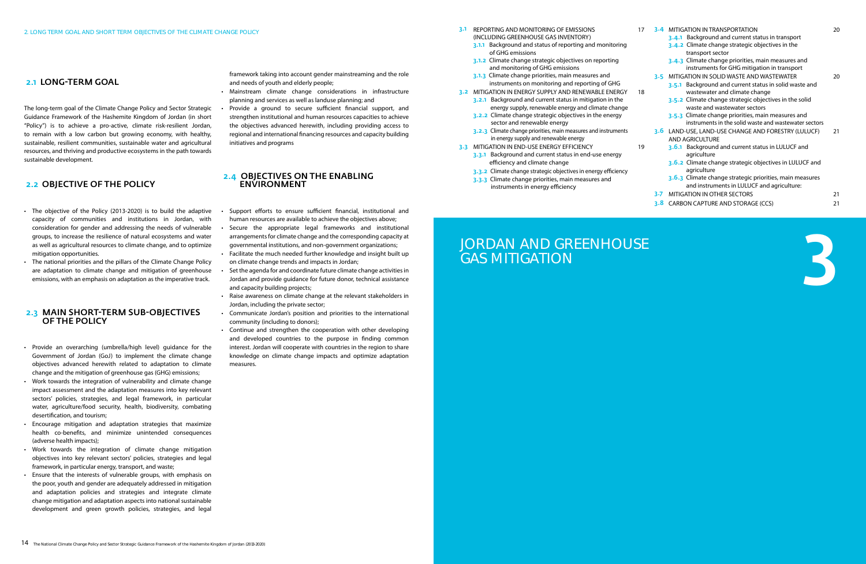| 17 |                  | 3-4 MITIGATION IN TRANSPORTATION                                                                            | 20 |
|----|------------------|-------------------------------------------------------------------------------------------------------------|----|
|    |                  | 3.4.1 Background and current status in transport                                                            |    |
|    |                  | 3.4.2 Climate change strategic objectives in the                                                            |    |
|    |                  | transport sector                                                                                            |    |
|    |                  | 3.4.3 Climate change priorities, main measures and                                                          |    |
|    |                  | instruments for GHG mitigation in transport                                                                 |    |
|    |                  | 3-5 MITIGATION IN SOLID WASTE AND WASTEWATER                                                                | 20 |
| 18 |                  | Background and current status in solid waste and<br>3.5.1<br>wastewater and climate change                  |    |
|    |                  | 3.5.2 Climate change strategic objectives in the solid<br>waste and wastewater sectors                      |    |
|    |                  | 3.5.3 Climate change priorities, main measures and<br>instruments in the solid waste and wastewater sectors |    |
|    |                  | 3.6 LAND-USE, LAND-USE CHANGE AND FORESTRY (LULUCF)<br><b>AND AGRICULTURE</b>                               | 21 |
| 19 |                  | 3.6.1 Background and current status in LULUCF and<br>agriculture                                            |    |
|    |                  | 3.6.2 Climate change strategic objectives in LULUCF and<br>agriculture                                      |    |
|    |                  | 3.6.3 Climate change strategic priorities, main measures<br>and instruments in LULUCF and agriculture:      |    |
|    | 3.7 <sub>1</sub> | <b>MITIGATION IN OTHER SECTORS</b>                                                                          | 21 |
|    | 3.8              | CARBON CAPTURE AND STORAGE (CCS)                                                                            | 21 |
|    |                  |                                                                                                             |    |



- 3.1 REPORTING AND MONITORING OF EMISSIONS (INCLUDING GREENHOUSE GAS INVENTORY)
	- 3.1.1 Background and status of reporting and monitoring of GHG emissions
	- 3.1.2 Climate change strategic objectives on reporting and monitoring of GHG emissions
	- 3.1.3 Climate change priorities, main measures and instruments on monitoring and reporting of GHG
- 3.2 MITIGATION IN ENERGY SUPPLY AND RENEWABLE ENERGY 3.2.1 Background and current status in mitigation in the energy supply, renewable energy and climate change
	- 3.2.2 Climate change strategic objectives in the energy sector and renewable energy
	- 3.2.3 Climate change priorities, main measures and instruments in energy supply and renewable energy
- **3.3 MITIGATION IN END-USE ENERGY EFFICIENCY** 
	- 3.3.1 Background and current status in end-use energy efficiency and climate change
	- 3.3.2 Climate change strategic objectives in energy efficiency
	- 3.3.3 Climate change priorities, main measures and instruments in energy efficiency

# JORDAN AND GREENHOUSE GAS MITIGATION

- The objective of the Policy (2013-2020) is to build the adaptive capacity of communities and institutions in Jordan, with consideration for gender and addressing the needs of vulnerable groups, to increase the resilience of natural ecosystems and water as well as agricultural resources to climate change, and to optimize mitigation opportunities.
- The national priorities and the pillars of the Climate Change Policy are adaptation to climate change and mitigation of greenhouse emissions, with an emphasis on adaptation as the imperative track.

The long-term goal of the Climate Change Policy and Sector Strategic Guidance Framework of the Hashemite Kingdom of Jordan (in short "Policy") is to achieve a pro-active, climate risk-resilient Jordan, to remain with a low carbon but growing economy, with healthy, sustainable, resilient communities, sustainable water and agricultural resources, and thriving and productive ecosystems in the path towards sustainable development.

- Mainstream climate change considerations in infrastructure planning and services as well as landuse planning; and
- Provide a ground to secure sufficient financial support, and strengthen institutional and human resources capacities to achieve the objectives advanced herewith, including providing access to regional and international financing resources and capacity building initiatives and programs

#### 2.4 Objectives on the enabling **ENVIRONMEN**

### 2.2 Objective of the Policy

- Support efforts to ensure sufficient financial, institutional and human resources are available to achieve the objectives above;
- Secure the appropriate legal frameworks and institutional arrangements for climate change and the corresponding capacity at governmental institutions, and non-government organizations;
- Facilitate the much needed further knowledge and insight built up on climate change trends and impacts in Jordan;
- Set the agenda for and coordinate future climate change activities in Jordan and provide guidance for future donor, technical assistance and capacity building projects;
- Raise awareness on climate change at the relevant stakeholders in Jordan, including the private sector;
- • Communicate Jordan's position and priorities to the international community (including to donors);
- Continue and strengthen the cooperation with other developing and developed countries to the purpose in finding common interest. Jordan will cooperate with countries in the region to share knowledge on climate change impacts and optimize adaptation measures.

#### 2.3 Main short-term sub-objectives of the Policy

- • Provide an overarching (umbrella/high level) guidance for the Government of Jordan (GoJ) to implement the climate change objectives advanced herewith related to adaptation to climate change and the mitigation of greenhouse gas (GHG) emissions;
- Work towards the integration of vulnerability and climate change impact assessment and the adaptation measures into key relevant sectors' policies, strategies, and legal framework, in particular water, agriculture/food security, health, biodiversity, combating desertification, and tourism;
- • Encourage mitigation and adaptation strategies that maximize health co-benefits, and minimize unintended consequences (adverse health impacts);
- • Work towards the integration of climate change mitigation objectives into key relevant sectors' policies, strategies and legal framework, in particular energy, transport, and waste;
- Ensure that the interests of vulnerable groups, with emphasis on the poor, youth and gender are adequately addressed in mitigation and adaptation policies and strategies and integrate climate change mitigation and adaptation aspects into national sustainable development and green growth policies, strategies, and legal

### 2.1 LONG-TERM GOAL

framework taking into account gender mainstreaming and the role and needs of youth and elderly people;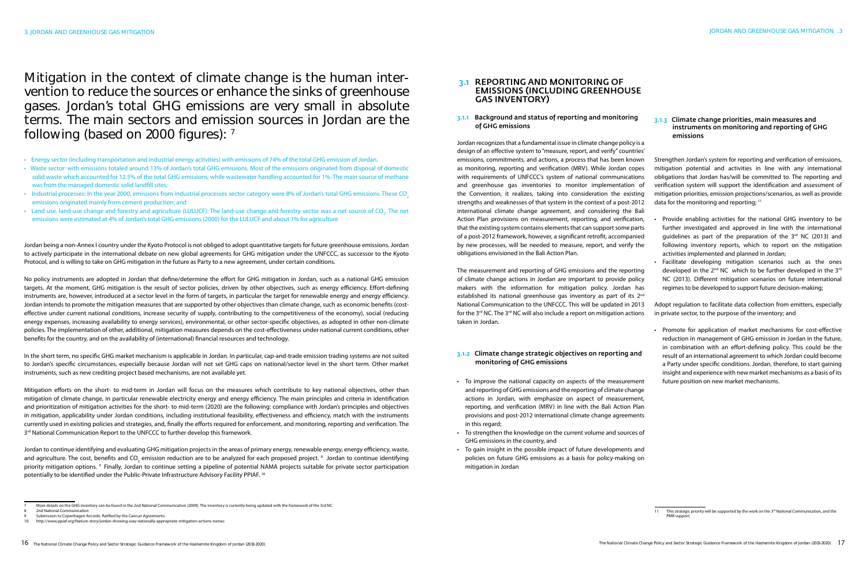Mitigation in the context of climate change is the human intervention to reduce the sources or enhance the sinks of greenhouse gases. Jordan's total GHG emissions are very small in absolute terms. The main sectors and emission sources in Jordan are the following (based on 2000 figures): 7

- Energy sector (including transportation and industrial energy activities) with emissions of 74% of the total GHG emission of Jordan.
- Waste sector: with emissions totaled around 13% of Jordan's total GHG emissions. Most of the emissions originated from disposal of domestic solid waste which accounted for 12.5% of the total GHG emissions, while wastewater handling accounted for 1%. The main source of methane was from the managed domestic solid landfill sites;
- Industrial processes: In the year 2000, emissions from industrial processes sector category were 8% of Jordan's total GHG emissions. These CO<sub>2</sub> emissions originated mainly from cement production; and
- Land use, land-use change and forestry and agriculture (LULUCF): The land-use change and forestry sector was a net source of CO<sub>2</sub>. The net emissions were estimated at 4% of Jordan's total GHG emissions (2000) for the LULUCF and about 1% for agriculture

Jordan being a non-Annex I country under the Kyoto Protocol is not obliged to adopt quantitative targets for future greenhouse emissions. Jordan to actively participate in the international debate on new global agreements for GHG mitigation under the UNFCCC, as successor to the Kyoto Protocol, and is willing to take on GHG mitigation in the future as Party to a new agreement, under certain conditions.

Mitigation efforts on the short- to mid-term in Jordan will focus on the measures which contribute to key national objectives, other than mitigation of climate change, in particular renewable electricity energy and energy efficiency. The main principles and criteria in identification and prioritization of mitigation activities for the short- to mid-term (2020) are the following: compliance with Jordan's principles and objectives in mitigation, applicability under Jordan conditions, including institutional feasibility, effectiveness and efficiency, match with the instruments currently used in existing policies and strategies, and, finally the efforts required for enforcement, and monitoring, reporting and verification. The 3<sup>rd</sup> National Communication Report to the UNFCCC to further develop this framework.

No policy instruments are adopted in Jordan that define/determine the effort for GHG mitigation in Jordan, such as a national GHG emission targets. At the moment, GHG mitigation is the result of sector policies, driven by other objectives, such as energy efficiency. Effort-defining instruments are, however, introduced at a sector level in the form of targets, in particular the target for renewable energy and energy efficiency. Jordan intends to promote the mitigation measures that are supported by other objectives than climate change, such as economic benefits (costeffective under current national conditions, increase security of supply, contributing to the competitiveness of the economy), social (reducing energy expenses, increasing availability to energy services), environmental, or other sector-specific objectives, as adopted in other non-climate policies. The implementation of other, additional, mitigation measures depends on the cost-effectiveness under national current conditions, other benefits for the country, and on the availability of (international) financial resources and technology.

#### 3.1 REPORTING AND MONITORING OF emissions (including greenhouse gas inventory)

In the short term, no specific GHG market mechanism is applicable in Jordan. In particular, cap-and-trade emission trading systems are not suited to Jordan's specific circumstances, especially because Jordan will not set GHG caps on national/sector level in the short term. Other market instruments, such as new crediting project based mechanisms, are not available yet.

#### 3.1.3 Climate change priorities, main measures and instruments on monitoring and reporting of GHG emissions

Jordan to continue identifying and evaluating GHG mitigation projects in the areas of primary energy, renewable energy, energy efficiency, waste, and agriculture. The cost, benefits and CO<sub>2</sub> emission reduction are to be analyzed for each proposed project.  $^8$  Jordan to continue identifying priority mitigation options. 9 Finally, Jordan to continue setting a pipeline of potential NAMA projects suitable for private sector participation potentially to be identified under the Public-Private Infrastructure Advisory Facility PPIAF. 10

- More details on the GHG inventory can be found in the 2nd National Communication (2009). The inventory is currently being updated with the framework of the 3rd NC.
- 2nd National Communication
- 
- Facilitate developing mitigation scenarios such as the ones developed in the  $2^{nd}$  NC which to be further developed in the  $3^{rd}$ NC (2013). Different mitigation scenarios on future international regimes to be developed to support future decision-making;
- Adopt regulation to facilitate data collection from emitters, especially in private sector, to the purpose of the inventory; and
- • Promote for application of market mechanisms for cost-effective reduction in management of GHG emission in Jordan in the future, in combination with an effort-defining policy. This could be the result of an international agreement to which Jordan could become a Party under specific conditions. Jordan, therefore, to start gaining insight and experience with new market mechanisms as a basis of its future position on new market mechanisms.
- 
- 

#### 3.1.1 Background and status of reporting and monitoring of GHG emissions

The measurement and reporting of GHG emissions and the reporting of climate change actions in Jordan are important to provide policy makers with the information for mitigation policy. Jordan has established its national greenhouse gas inventory as part of its 2<sup>nd</sup> National Communication to the UNFCCC. This will be updated in 2013 for the  $3<sup>rd</sup>$  NC. The  $3<sup>rd</sup>$  NC will also include a report on mitigation actions taken in Jordan.

#### 3.1.2 Climate change strategic objectives on reporting and monitoring of GHG emissions

Jordan recognizes that a fundamental issue in climate change policy is a design of an effective system to "measure, report, and verify" countries' emissions, commitments, and actions, a process that has been known as monitoring, reporting and verification (MRV). While Jordan copes with requirements of UNFCCC's system of national communications and greenhouse gas inventories to monitor implementation of the Convention, it realizes, taking into consideration the existing strengths and weaknesses of that system in the context of a post-2012 international climate change agreement, and considering the Bali Action Plan provisions on measurement, reporting, and verification, that the existing system contains elements that can support some parts of a post-2012 framework, however, a significant retrofit, accompanied by new processes, will be needed to measure, report, and verify the obligations envisioned in the Bali Action Plan. Strengthen Jordan's system for reporting and verification of emissions, mitigation potential and activities in line with any international obligations that Jordan has/will be committed to. The reporting and verification system will support the identification and assessment of mitigation priorities, emission projections/scenarios, as well as provide data for the monitoring and reporting; 11 Provide enabling activities for the national GHG inventory to be further investigated and approved in line with the international guidelines as part of the preparation of the  $3<sup>rd</sup>$  NC (2013) and following inventory reports, which to report on the mitigation activities implemented and planned in Jordan;

- • To improve the national capacity on aspects of the measurement and reporting of GHG emissions and the reporting of climate change actions in Jordan, with emphasize on aspect of measurement, reporting, and verification (MRV) in line with the Bali Action Plan provisions and post-2012 international climate change agreements in this regard;
- To strengthen the knowledge on the current volume and sources of GHG emissions in the country, and
- To gain insight in the possible impact of future developments and policies on future GHG emissions as a basis for policy-making on mitigation in Jordan

This strategic priority will be supported by the work on the 3<sup>rd</sup> National Communication, and the PMR support

<sup>9</sup> Submission to Copenhagen Accords. Ratified by the Cancun Agreements. 10 http://www.ppiaf.org/feature-story/jordan-showing-way-nationally-appropriate-mitigation-actions-namas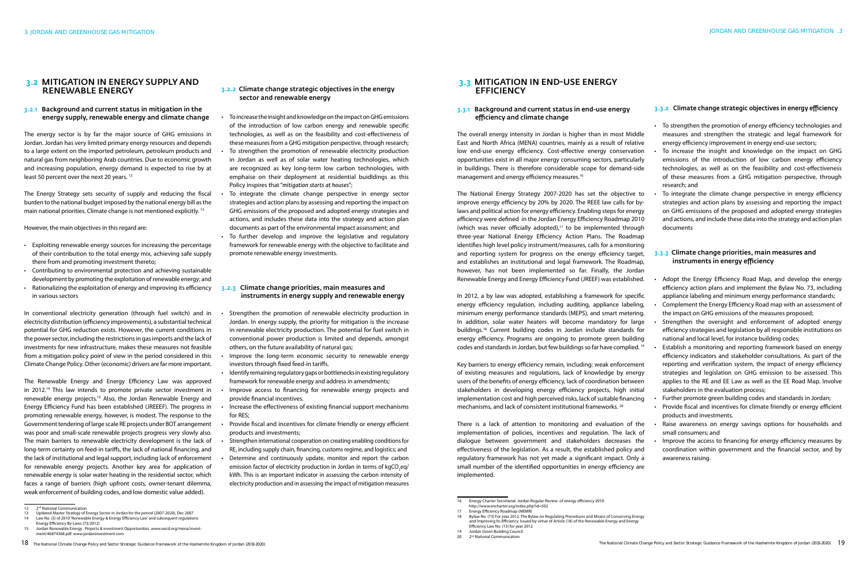The overall energy intensity in Jordan is higher than in most Middle East and North Africa (MENA) countries, mainly as a result of relative low end-use energy efficiency. Cost-effective energy conservation opportunities exist in all major energy consuming sectors, particularly in buildings. There is therefore considerable scope for demand-side management and energy efficiency measures.<sup>16</sup>

#### 3.3.1 Background and current status in end-use energy efficiency and climate change

The National Energy Strategy 2007‐2020 has set the objective to improve energy efficiency by 20% by 2020. The REEE law calls for by‐ laws and political action for energy efficiency. Enabling steps for energy efficiency were defined in the Jordan Energy Efficiency Roadmap 2010 (which was never officially adopted), $17$  to be implemented through three-year National Energy Efficiency Action Plans. The Roadmap identifies high level policy instrument/measures, calls for a monitoring and reporting system for progress on the energy efficiency target, and establishes an institutional and legal framework. The Roadmap, however, has not been implemented so far. Finally, the Jordan Renewable Energy and Energy Efficiency Fund (JREEF) was established.

The energy sector is by far the major source of GHG emissions in Jordan. Jordan has very limited primary energy resources and depends to a large extent on the imported petroleum, petroleum products and natural gas from neighboring Arab countries. Due to economic growth and increasing population, energy demand is expected to rise by at least 50 percent over the next 20 years.<sup>12</sup>

> In 2012, a by law was adopted, establishing a framework for specific energy efficiency regulation, including auditing, appliance labeling, minimum energy performance standards (MEPS), and smart metering. In addition, solar water heaters will become mandatory for large buildings.18 Current building codes in Jordan include standards for energy efficiency. Programs are ongoing to promote green building codes and standards in Jordan, but few buildings so far have complied. 19

- Exploiting renewable energy sources for increasing the percentage of their contribution to the total energy mix, achieving safe supply there from and promoting investment thereto;
- Contributing to environmental protection and achieving sustainable development by promoting the exploitation of renewable energy; and
- Rationalizing the exploitation of energy and improving its efficiency in various sectors

Key barriers to energy efficiency remain, including: weak enforcement of existing measures and regulations, lack of knowledge by energy users of the benefits of energy efficiency, lack of coordination between stakeholders in developing energy efficiency projects, high initial implementation cost and high perceived risks, lack of suitable financing mechanisms, and lack of consistent institutional frameworks. 20

There is a lack of attention to monitoring and evaluation of the implementation of policies, incentives and regulation. The lack of dialogue between government and stakeholders decreases the effectiveness of the legislation. As a result, the established policy and regulatory framework has not yet made a significant impact. Only a small number of the identified opportunities in energy efficiency are implemented.

#### 3.2 Mitigation in energy supply and renewable energy

#### 3.2.1 Background and current status in mitigation in the energy supply, renewable energy and climate change

• To strengthen the promotion of energy efficiency technologies and measures and strengthen the strategic and legal framework for energy efficiency improvement in energy end-use sectors;

- To increase the insight and knowledge on the impact on GHG emissions of the introduction of low carbon energy efficiency technologies, as well as on the feasibility and cost-effectiveness of these measures from a GHG mitigation perspective, through research; and
- To integrate the climate change perspective in energy efficiency strategies and action plans by assessing and reporting the impact on GHG emissions of the proposed and adopted energy strategies and actions, and include these data into the strategy and action plan documents

#### 3.3.3 Climate change priorities, main measures and instruments in energy efficiency

The Energy Strategy sets security of supply and reducing the fiscal burden to the national budget imposed by the national energy bill as the main national priorities. Climate change is not mentioned explicitly. 13

However, the main objectives in this regard are:

- Adopt the Energy Efficiency Road Map, and develop the energy efficiency action plans and implement the Bylaw No. 73, including appliance labeling and minimum energy performance standards;
- Complement the Energy Efficiency Road map with an assessment of the impact on GHG emissions of the measures proposed;
- Strengthen the oversight and enforcement of adopted energy efficiency strategies and legislation by all responsible institutions on national and local level, for instance building codes;
- Establish a monitoring and reporting framework based on energy efficiency indicators and stakeholder consultations. As part of the reporting and verification system, the impact of energy efficiency strategies and legislation on GHG emission to be assessed. This applies to the RE and EE Law as well as the EE Road Map. Involve stakeholders in the evaluation process;
- Further promote green building codes and standards in Jordan;
- Provide fiscal and incentives for climate friendly or energy efficient products and investments.
- Raise awareness on energy savings options for households and small consumers; and
- Improve the access to financing for energy efficiency measures by coordination within government and the financial sector, and by awareness raising.
- 

#### 3.2.2 Climate change strategic objectives in the energy sector and renewable energy

In conventional electricity generation (through fuel switch) and in electricity distribution (efficiency improvements), a substantial technical potential for GHG reduction exists. However, the current conditions in the power sector, including the restrictions in gas imports and the lack of investments for new infrastructure, makes these measures not feasible from a mitigation policy point of view in the period considered in this Climate Change Policy. Other (economic) drivers are far more important.

- To increase the insight and knowledge on the impact on GHG emissions of the introduction of low carbon energy and renewable specific technologies, as well as on the feasibility and cost-effectiveness of these measures from a GHG mitigation perspective, through research; To strengthen the promotion of renewable electricity production in Jordan as well as of solar water heating technologies, which are recognized as key long-term low carbon technologies, with emphaise on their deployment at residential buidldings as this Policy inspires that "*mitigation starts at houses*";
- To integrate the climate change perspective in energy sector strategies and action plans by assessing and reporting the impact on GHG emissions of the proposed and adopted energy strategies and actions, and includes these data into the strategy and action plan documents as part of the environmental impact assessment; and
- To further develop and improve the legislative and regulatory framework for renewable energy with the objective to facilitate and promote renewable energy investments.

The Renewable Energy and Energy Efficiency Law was approved in 2012.14 This law intends to promote private sector investment in renewable energy projects.<sup>15</sup> Also, the Jordan Renewable Energy and Energy Efficiency Fund has been established (JREEEF). The progress in • promoting renewable energy, however, is modest. The response to the Government tendering of large scale RE projects under BOT arrangement was poor and small-scale renewable projects progress very slowly also. The main barriers to renewable electricity development is the lack of long-term certainty on feed-in tariffs, the lack of national financing, and the lack of institutional and legal support, including lack of enforcement for renewable energy projects. Another key area for application of renewable energy is solar water heating in the residential sector, which faces a range of barriers (high upfront costs, owner-tenant dilemma, weak enforcement of building codes, and low domestic value added).

- Strengthen the promotion of renewable electricity production in Jordan. In energy supply, the priority for mitigation is the increase in renewable electricity production. The potential for fuel switch in conventional power production is limited and depends, amongst others, on the future availability of natural gas;
- Improve the long-term economic security to renewable energy investors through fixed feed-in tariffs.
- Identify remaining regulatory gaps or bottlenecks in existing regulatory framework for renewable energy and address in amendments;
- Improve access to financing for renewable energy projects and provide financial incentives.
- Increase the effectiveness of existing financial support mechanisms for RES;
- Provide fiscal and incentives for climate friendly or energy efficient products and investments;
- Strengthen international cooperation on creating enabling conditions for RE, including supply chain, financing, customs regime, and logistics; and
- Determine and continuously update, monitor and report the carbon emission factor of electricity production in Jordan in terms of kgCO<sub>2</sub>eq/ kWh. This is an important indicator in assessing the carbon intensity of electricity production and in assessing the impact of mitigation measures

#### 3.3 Mitigation in end-use energy **FFFICIENCY**

#### 3.2.3 Climate change priorities, main measures and instruments in energy supply and renewable energy

- Law No. (3) of 2010 'Renewable Energy & Energy Efficiency Law' and subsequent regulations Energy Efficiency By-Laws (73/2012)
- 15 Jordan Renewable Energy . Projects & investment Opportunities. www.oecd.org/mena/invest-ر۔<br>ht/46874368.pdf. www.jord

2<sup>nd</sup> National Communication

#### 3.3.2 Climate change strategic objectives in energy efficiency

<sup>12 2&</sup>lt;sup>nd</sup> National Communication

<sup>16</sup> Energy Charter Secretariat. Jordan Regular Review of energy efficiency 2010. http://www.encharter.org/index.php?id=502<br>17 Energy Efficiency Roadmap (MEMR)

Energy Efficiency Roadmap (MEMR)

<sup>13</sup> Updated Master Strategy of Energy Sector in Jordan for the period (2007-2020), Dec 2007

<sup>18</sup> Bylaw No. (73) For year 2012. The Bylaw on Regulating Procedures and Means of Conserving Energy and Improving Its Efficiency. Issued by virtue of Article (18) of the Renewable Energy and Energy Efficiency Law No. (13) for year 2012

<sup>19</sup> Jordan Green Building Council<br>20 2<sup>nd</sup> National Communication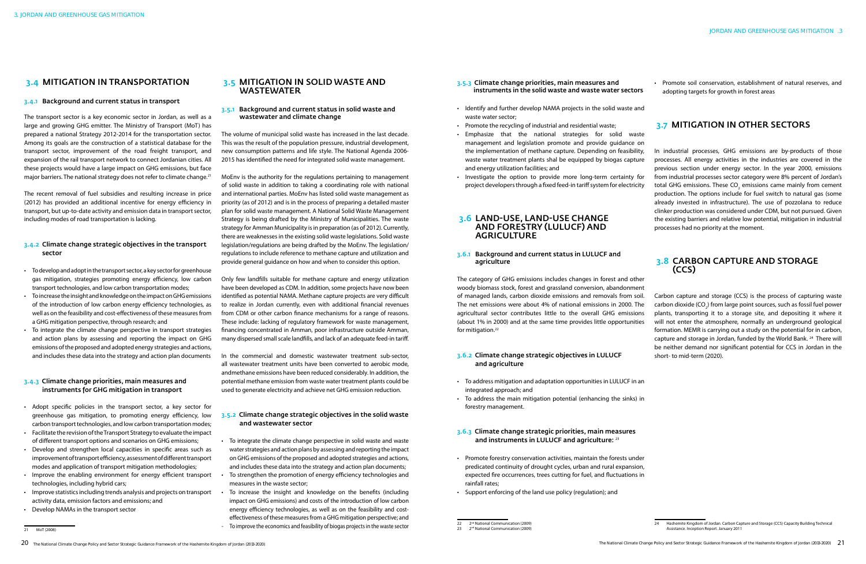The transport sector is a key economic sector in Jordan, as well as a large and growing GHG emitter. The Ministry of Transport (MoT) has prepared a national Strategy 2012-2014 for the transportation sector. Among its goals are the construction of a statistical database for the transport sector, improvement of the road freight transport, and expansion of the rail transport network to connect Jordanian cities. All these projects would have a large impact on GHG emissions, but face major barriers. The national strategy does not refer to climate change.<sup>21</sup>

#### 3.4.1 Background and current status in transport

The recent removal of fuel subsidies and resulting increase in price (2012) has provided an additional incentive for energy efficiency in transport, but up-to-date activity and emission data in transport sector, including modes of road transportation is lacking.

- To develop and adopt in the transport sector, a key sector for greenhouse gas mitigation, strategies promoting energy efficiency, low carbon transport technologies, and low carbon transportation modes;
- • To increase the insight and knowledge on the impact on GHG emissions of the introduction of low carbon energy efficiency technologies, as well as on the feasibility and cost-effectiveness of these measures from a GHG mitigation perspective, through research; and
- To integrate the climate change perspective in transport strategies and action plans by assessing and reporting the impact on GHG emissions of the proposed and adopted energy strategies and actions, and includes these data into the strategy and action plan documents

#### 3.4.2 Climate change strategic objectives in the transport sector

- Adopt specific policies in the transport sector, a key sector for greenhouse gas mitigation, to promoting energy efficiency, low carbon transport technologies, and low carbon transportation modes;
- • Facilitate the revisionoftheTransport Strategy toevaluate the impact of different transport options and scenarios on GHG emissions;
- Develop and strengthen local capacities in specific areas such as improvement of transport efficiency, assessment of different transport modes and application of transport mitigation methodologies;
- Improve the enabling environment for energy efficient transport technologies, including hybrid cars;
- • Improve statisticsincluding trends analysis and projects on transport activity data, emission factors and emissions; and
- • Develop NAMAs in the transport sector

#### 3.4.3 Climate change priorities, main measures and instruments for GHG mitigation in transport

#### 3.5.2 Climate change strategic objectives in the solid waste and wastewater sector

#### 3.5 Mitigation in solid waste and wastewater

#### 3.5.1 Background and current status in solid waste and wastewater and climate change

- To integrate the climate change perspective in solid waste and waste water strategies and action plans by assessing and reporting the impact on GHG emissions of the proposed and adopted strategies and actions, and includes these data into the strategy and action plan documents;
- To strengthen the promotion of energy efficiency technologies and measures in the waste sector;
- To increase the insight and knowledge on the benefits (including impact on GHG emissions) and costs of the introduction of low carbon energy efficiency technologies, as well as on the feasibility and costeffectiveness of these measures from a GHG mitigation perspective; and
- To improve the economics and feasibility of biogas projects in the waste sector

• Promote soil conservation, establishment of natural reserves, and adopting targets for growth in forest areas

### **3.7 MITIGATION IN OTHER SECTORS**

The volume of municipal solid waste has increased in the last decade. This was the result of the population pressure, industrial development, new consumption patterns and life style. The National Agenda 2006- 2015 has identified the need for integrated solid waste management.

> Carbon capture and storage (CCS) is the process of capturing waste carbon dioxide (CO<sub>2</sub>) from large point sources, such as fossil fuel power plants, transporting it to a storage site, and depositing it where it will not enter the atmosphere, normally an underground geological formation. MEMR is carrying out a study on the potential for in carbon, capture and storage in Jordan, funded by the World Bank. 24 There will be neither demand nor significant potential for CCS in Jordan in the short- to mid-term (2020). The category of GHG emissions includes changes in forest and other woody biomass stock, forest and grassland conversion, abandonment of managed lands, carbon dioxide emissions and removals from soil. The net emissions were about 4% of national emissions in 2000. The agricultural sector contributes little to the overall GHG emissions (about 1% in 2000) and at the same time provides little opportunities for mitigation.<sup>22</sup>

MoEnv is the authority for the regulations pertaining to management of solid waste in addition to taking a coordinating role with national and international parties. MoEnv has listed solid waste management as priority (as of 2012) and is in the process of preparing a detailed master plan for solid waste management. A National Solid Waste Management Strategy is being drafted by the Ministry of Municipalities. The waste strategy for Amman Municipality is in preparation (as of 2012). Currently, there are weaknesses in the existing solid waste legislations. Solid waste legislation/regulations are being drafted by the MoEnv. The legislation/ regulations to include reference to methane capture and utilization and provide general guidance on how and when to consider this option.

#### 3.6 Land-use, land-use change and forestry (LULUCF) and **AGRICULTURE**

Only few landfills suitable for methane capture and energy utilization have been developed as CDM. In addition, some projects have now been identified as potential NAMA. Methane capture projects are very difficult to realize in Jordan currently, even with additional financial revenues from CDM or other carbon finance mechanisms for a range of reasons. These include: lacking of regulatory framework for waste management, financing concentrated in Amman, poor infrastructure outside Amman, many dispersed small scale landfills, and lack of an adequate feed-in tariff.

- To address mitigation and adaptation opportunities in LULUCF in an integrated approach; and
- To address the main mitigation potential (enhancing the sinks) in forestry management.

#### 3.6.3 Climate change strategic priorities, main measures and instruments in LULUCF and agriculture: 23

- Promote forestry conservation activities, maintain the forests under predicated continuity of drought cycles, urban and rural expansion, expected fire occurrences, trees cutting for fuel, and fluctuations in rainfall rates;
- • Support enforcing of the land use policy (regulation); and

In the commercial and domestic wastewater treatment sub-sector, all wastewater treatment units have been converted to aerobic mode, andmethane emissions have been reduced considerably. In addition, the potential methane emission from waste water treatment plants could be used to generate electricity and achieve net GHG emission reduction.

In industrial processes, GHG emissions are by-products of those processes. All energy activities in the industries are covered in the previous section under energy sector. In the year 2000, emissions from industrial processes sector category were 8% percent of Jordan's total GHG emissions. These  $\text{CO}_2$  emissions came mainly from cement production. The options include for fuel switch to natural gas (some already invested in infrastructure). The use of pozzolana to reduce clinker production was considered under CDM, but not pursued. Given the existing barriers and relative low potential, mitigation in industrial processes had no priority at the moment.

## 3.8 Carbon capture and storage (CCS)

- 3.5.3 Climate change priorities, main measures and instruments in the solid waste and waste water sectors
- Identify and further develop NAMA projects in the solid waste and waste water sector;
- Promote the recycling of industrial and residential waste;
- • Emphasize that the national strategies for solid waste management and legislation promote and provide guidance on the implementation of methane capture. Depending on feasibility, waste water treatment plants shal be equipped by biogas capture and energy utilization facilities; and
- • Investigate the option to provide more long-term certainty for project developers through a fixed feed-in tariff system for electricity

#### 3.6.1 Background and current status in LULUCF and agriculture

#### 3.6.2 Climate change strategic objectives in LULUCF and agriculture

21 MoT (2008)

### **3.4 MITIGATION IN TRANSPORTATION**

<sup>22 2&</sup>lt;sup>nd</sup> National Communication (2009)

<sup>2&</sup>lt;sup>nd</sup> National Communication (2009

<sup>24</sup> Hashemite Kingdom of Jordan. Carbon Capture and Storage (CCS) Capacity Building Technical Assistance. Inception Report. January 2011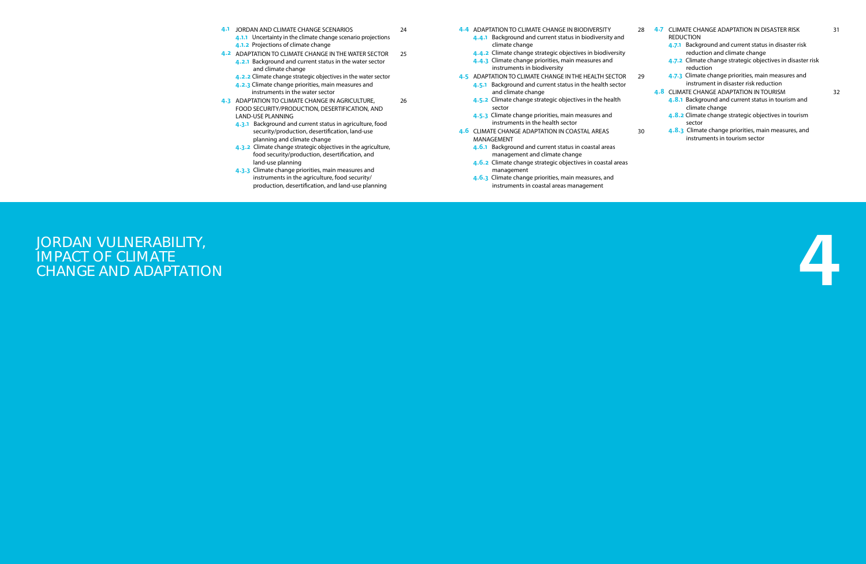- 4.1 JORDAN AND CLIMATE CHANGE SCENARIOS
	- **4.1.1** Uncertainty in the climate change scenario projections 4.1.2 Projections of climate change

24

- 4.2 ADAPTATION TO CLIMATE CHANGE IN THE WATER SECTOR 25 **4.2.1** Background and current status in the water sector
	- and climate change
	- 4.2.2 Climate change strategic objectives in the water sector
	- 4.2.3 Climate change priorities, main measures and instruments in the water sector
- **4.3 ADAPTATION TO CLIMATE CHANGE IN AGRICULTURE,** FOOD SECURITY/PRODUCTION, DESERTIFICATION, AND LAND-USE PLANNING 26
	- 4.3.1 Background and current status in agriculture, food security/production, desertification, land-use planning and climate change
	- **4.3.2** Climate change strategic objectives in the agriculture, food security/production, desertification, and land-use planning
	- **4.3.3** Climate change priorities, main measures and instruments in the agriculture, food security/ production, desertification, and land-use planning

4.4 ADAPTATION TO CLIMATE CHANGE IN BIODIVERSITY

# 4 JORDAN VULNERABILITY, AND A SERVE THE SERVE TO A SERVE THE SERVE TO A SERVE THE SERVE TO A SERVE TO A SERVE <br>1 MPACT OF CLIMATE<br>CHANGE AND ADAPTATION IMPACT OF CLIMATE CHANGE AND ADAPTATION

- 4.4.1 Background and current status in biodiversity and climate change
- 4.4.2 Climate change strategic objectives in biodiversity
- 4.4.3 Climate change priorities, main measures and instruments in biodiversity
- 4.5 ADAPTATION TO CLIMATE CHANGE IN THE HEALTH SECTOR 4.5.1 Background and current status in the health sector
- and climate change
	- 4.5.2 Climate change strategic objectives in the health sector
	- 4.5.3 Climate change priorities, main measures and instruments in the health sector
- 4.6 CLIMATE CHANGE ADAPTATION IN COASTAL AREAS MANAGEMENT
	- 4.6.1 Background and current status in coastal areas management and climate change
	- 4.6.2 Climate change strategic objectives in coastal areas management
	- 4.6.3 Climate change priorities, main measures, and instruments in coastal areas management

| 28 | 4.7 CLIMATE CHANGE ADAPTATION IN DISASTER RISK<br><b>REDUCTION</b>                          | 31 |
|----|---------------------------------------------------------------------------------------------|----|
|    | 4.7.1 Background and current status in disaster risk<br>reduction and climate change        |    |
|    | 4.7.2 Climate change strategic objectives in disaster risk<br>reduction                     |    |
| 29 | 4.7.3 Climate change priorities, main measures and<br>instrument in disaster risk reduction |    |
|    | 4.8 CLIMATE CHANGE ADAPTATION IN TOURISM                                                    | 32 |
|    | 4.8.1 Background and current status in tourism and<br>climate change                        |    |
|    | 4.8.2 Climate change strategic objectives in tourism<br>sector                              |    |
| 30 | 4.8.3 Climate change priorities, main measures, and<br>instruments in tourism sector        |    |
|    |                                                                                             |    |

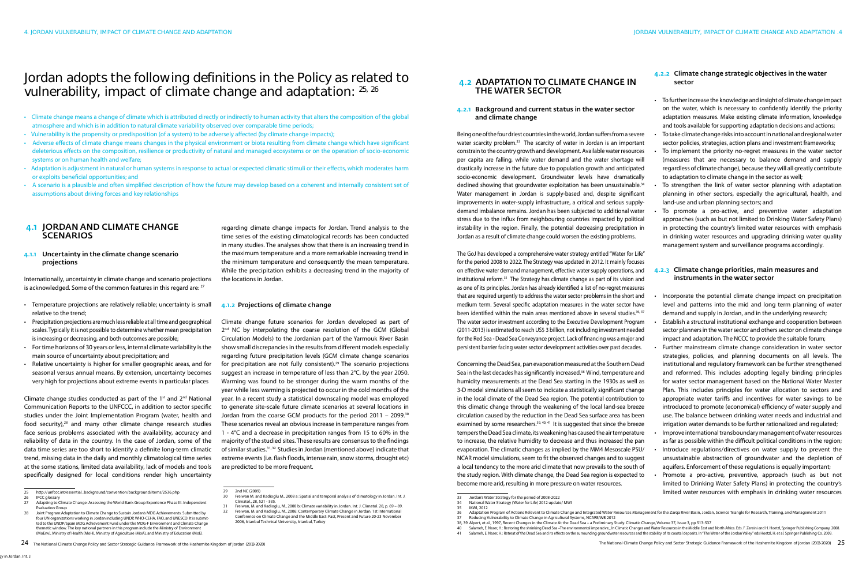# Jordan adopts the following definitions in the Policy as related to vulnerability, impact of climate change and adaptation: 25, 26

- Climate change means a change of climate which is attributed directly or indirectly to human activity that alters the composition of the global atmosphere and which is in addition to natural climate variability observed over comparable time periods;
- Vulnerability is the propensity or predisposition (of a system) to be adversely affected (by climate change impacts);
- Adverse effects of climate change means changes in the physical environment or biota resulting from climate change which have significant deleterious effects on the composition, resilience or productivity of natural and managed ecosystems or on the operation of socio-economic systems or on human health and welfare;
- Adaptation is adjustment in natural or human systems in response to actual or expected climatic stimuli or their effects, which moderates harm or exploits beneficial opportunities; and
- A scenario is a plausible and often simplified description of how the future may develop based on a coherent and internally consistent set of assumptions about driving forces and key relationships

31 Freiwan, M. and Kadioglu, M., 2008 b: Climate variability in Jordan. Int. J. Climatol. 28, p. 69 – 89. 32 Freiwan, M. and Kadioglu, M., 2006: Contemporary Climate Change in Jordan. 1st International Conference on Climate Change and the Middle East: Past, Present and Future 20-23 November 2006, Istanbul Technical University, Istanbul, Turkey

### 4.2 Adaptation to climate change in the water sector

#### 4.1 Jordan and climate change **SCENARIOS**

#### 4.2.1 Background and current status in the water sector and climate change

Internationally, uncertainty in climate change and scenario projections is acknowledged. Some of the common features in this regard are: <sup>27</sup>

Being one of the four driest countries in the world, Jordan suffers from a severe water scarcity problem.<sup>33</sup> The scarcity of water in Jordan is an important constrain to the country growth and development. Available water resources per capita are falling, while water demand and the water shortage will drastically increase in the future due to population growth and anticipated socio-economic development. Groundwater levels have dramatically declined showing that groundwater exploitation has been unsustainable.<sup>34</sup> Water management in Jordan is supply-based and, despite significant improvements in water-supply infrastructure, a critical and serious supplydemand imbalance remains. Jordan has been subjected to additional water stress due to the influx from neighbouring countries impacted by political instability in the region. Finally, the potential decreasing precipitation in Jordan as a result of climate change could worsen the existing problems.

Climate change studies conducted as part of the  $1<sup>st</sup>$  and  $2<sup>nd</sup>$  National Communication Reports to the UNFCCC, in addition to sector specific studies under the Joint Implementation Program (water, health and food security),<sup>28</sup> and many other climate change research studies face serious problems associated with the availability, accuracy and reliability of data in the country. In the case of Jordan, some of the data time series are too short to identify a definite long-term climatic trend, missing data in the daily and monthly climatological time series at the some stations, limited data availability, lack of models and tools specifically designed for local conditions render high uncertainty

#### 4.2.3 Climate change priorities, main measures and instruments in the water sector

The GoJ has developed a comprehensive water strategy entitled "Water for Life" for the period 2008 to 2022. The Strategy was updated in 2012. It mainly focuses on effective water demand management, effective water supply operations, and institutional reform.35 The Strategy has climate change as part of its vision and as one of its principles. Jordan has already identified a list of no-regret measures that are required urgently to address the water sector problems in the short and medium term. Several specific adaptation measures in the water sector have been identified within the main areas mentioned above in several studies.<sup>36, 37</sup> The water sector investment according to the Executive Development Program (2011-2013) is estimated to reach US\$ 3 billion, not including investment needed for the Red Sea - Dead Sea Conveyance project. Lack of financing was a major and persistent barrier facing water sector development activities over past decades.

- Incorporate the potential climate change impact on precipitation level and patterns into the mid and long term planning of water demand and supply in Jordan, and in the underlying research;
- **Establish a structural institutional exchange and cooperation between** sector planners in the water sector and others sector on climate change impact and adaptation. The NCCC to provide the suitable forum;
- Further mainstream climate change consideration in water sector strategies, policies, and planning documents on all levels. The institutional and regulatory framework can be further strengthened and reformed. This includes adopting legally binding principles for water sector management based on the National Water Master Plan. This includes principles for water allocation to sectors and appropriate water tariffs and incentives for water savings to be introduced to promote (economical) efficiency of water supply and use. The balance between drinking water needs and industrial and irrigation water demands to be further rationalized and regulated;
- Improve international transboundary management of water resources as far as possible within the difficult political conditions in the region; Introduce regulations/directives on water supply to prevent the unsustainable abstraction of groundwater and the depletion of
- aquifers. Enforcement of these regulations is equally important; Promote a pro-active, preventive, approach (such as but not limited to Drinking Water Safety Plans) in protecting the country's limited water resources with emphasis in drinking water resources

Concerning the Dead Sea, pan evaporation measured at the Southern Dead Sea in the last decades has significantly increased.<sup>38</sup> Wind, temperature and humidity measurements at the Dead Sea starting in the 1930s as well as 3-D model simulations all seem to indicate a statistically significant change in the local climate of the Dead Sea region. The potential contribution to this climatic change through the weakening of the local land-sea breeze circulation caused by the reduction in the Dead Sea surface area has been examined by some researchers.<sup>39, 40, 41</sup> It is suggested that since the breeze tempers the Dead Sea climate, its weakening has caused the air temperature to increase, the relative humidity to decrease and thus increased the pan evaporation. The climatic changes as implied by the MM4 Mesoscale PSU/ NCAR model simulations, seem to fit the observed changes and to suggest a local tendency to the more arid climate that now prevails to the south of the study region. With climate change, the Dead Sea region is expected to become more arid, resulting in more pressure on water resources.

#### 4.1.1 Uncertainty in the climate change scenario projections

- • Temperature projections are relatively reliable; uncertainty is small relative to the trend;
- • Precipitation projections are much less reliable at all time and geographical scales. Typically it is not possible to determine whether mean precipitation is increasing or decreasing, and both outcomes are possible;
- For time horizons of 30 years or less, internal climate variability is the main source of uncertainty about precipitation; and
- • Relative uncertainty is higher for smaller geographic areas, and for seasonal versus annual means. By extension, uncertainty becomes very high for projections about extreme events in particular places

#### 4.2.2 Climate change strategic objectives in the water sector

- • To further increase the knowledge and insight of climate change impact on the water, which is necessary to confidently identify the priority adaptation measures. Make existing climate information, knowledge and tools available for supporting adaptation decisions and actions;
- To take climate change risks into account in national and regional water sector policies, strategies, action plans and investment frameworks;
- To implement the priority no-regret measures in the water sector (measures that are necessary to balance demand and supply regardless of climate change), because they will all greatly contribute to adaptation to climate change in the sector as well;
- To strengthen the link of water sector planning with adaptation planning in other sectors, especially the agricultural, health, and land-use and urban planning sectors; and
- To promote a pro-active, and preventive water adaptation approaches (such as but not limited to Drinking Water Safety Plans) in protecting the country's limited water resources with emphasis in drinking water resources and upgrading drinking water quality management system and surveillance programs accordingly.
- 
- 

regarding climate change impacts for Jordan. Trend analysis to the time series of the existing climatological records has been conducted in many studies. The analyses show that there is an increasing trend in the maximum temperature and a more remarkable increasing trend in the minimum temperature and consequently the mean temperature. While the precipitation exhibits a decreasing trend in the majority of the locations in Jordan.

#### 4.1.2 Projections of climate change

Climate change future scenarios for Jordan developed as part of 2<sup>nd</sup> NC by interpolating the coarse resolution of the GCM (Global Circulation Models) to the Jordanian part of the Yarmouk River Basin show small discrepancies in the results from different models especially regarding future precipitation levels (GCM climate change scenarios for precipitation are not fully consistent).<sup>29</sup> The scenario projections suggest an increase in temperature of less than 2°C, by the year 2050. Warming was found to be stronger during the warm months of the year while less warming is projected to occur in the cold months of the year. In a recent study a statistical downscaling model was employed to generate site-scale future climate scenarios at several locations in Jordan from the coarse GCM products for the period 2011 – 2099.30 These scenarios reveal an obvious increase in temperature ranges from 1 - 4°C and a decrease in precipitation ranges from 15 to 60% in the majority of the studied sites. These results are consensus to the findings of similar studies.31, 32 Studies in Jordan (mentioned above) indicate that extreme events (i.e. flash floods, intense rain, snow storms, drought etc) are predicted to be more frequent.

36 Adaptation Program of Actions Relevant to Climate Change and Integrated Water Resources Management for the Zarqa River Basin, Jordan, Science Triangle for Research, Training, and Management 2011

<sup>25</sup> http://unfccc.int/essential\_background/convention/background/items/2536.php

<sup>26</sup> IPCC glossary<br>27 Adapting to C

<sup>27</sup> Adapting to Climate Change: Assessing the World Bank Group Experience Phase III. Independent Evaluation Group 28 Joint Program:Adaptation to Climate Change to Sustain Jordan's MDG Achievements. Submitted by

four UN organizations working in Jordan including UNDP, WHO-CEHA, FAO, and UNESCO. It is submitted to the UNDP/Spain MDG Achievement Fund under the MDG-F Environment and Climate Change thematic window. The key national partners in this program include the Ministry of Environment (MoEnv), Ministry of Health (MoH), Ministry of Agriculture (MoA), and Ministry of Education (MoE).

<sup>29</sup> 2nd NC (2009)

<sup>30</sup> Freiwan M. and Kadioglu M., 2008 a: Spatial and temporal analysis of climatology in Jordan. Int. J. Climatol., 28, 521 - 535.

<sup>33</sup> Jordan's Water Strategy for the period of 2008-2022

<sup>34</sup> National Water Strategy (Water for Life) 2012 update/ MWI

MWI, 2012

<sup>37</sup> Reducing Vulnerability to Climate Change in Agricultural Systems, NCARE/WB 2012<br>38, 39 Alpert, et al., 1997, Recent Changes in the Climate At the Dead Sea – a Preliminary Study. Climatic Change, Volume 37, Issue

Salameh, E. Naser, H.: Restoring the shrinking Dead Sea-The environmental imperative\_In Climatic Changes and Water Resources in the Middle East and North Africa. Eds. F. Zereini and H. Hoetzl, Springer Publishing Company, Salameh, E. Naser, H.: Retreat of the Dead Sea and its effects on the surrounding groundwater resources and the stability of its coastal deposits. In "The Water of the Jordan Valley" eds Hoetzl, H. et al. Springer Publishi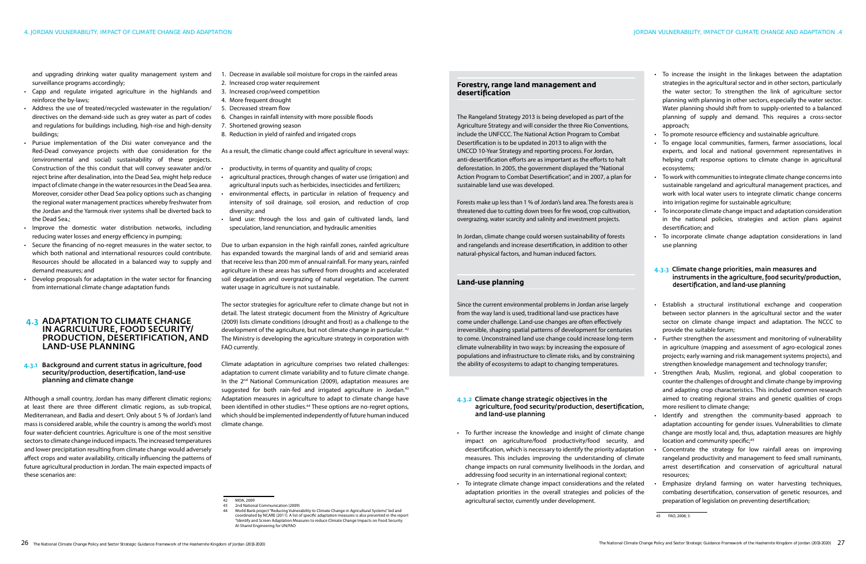and upgrading drinking water quality management system and surveillance programs accordingly;

- • Capp and regulate irrigated agriculture in the highlands and reinforce the by-laws;
- • Address the use of treated/recycled wastewater in the regulation/ directives on the demand-side such as grey water as part of codes and regulations for buildings including, high-rise and high-density buildings;
- • Pursue implementation of the Disi water conveyance and the Red-Dead conveyance projects with due consideration for the (environmental and social) sustainability of these projects. Construction of the this conduit that will convey seawater and/or reject brine after desalination, into the Dead Sea, might help reduce impact of climate change in the water resources in the Dead Sea area. Moreover, consider other Dead Sea policy options such as changing the regional water management practices whereby freshwater from the Jordan and the Yarmouk river systems shall be diverted back to the Dead Sea.;
- Improve the domestic water distribution networks, including reducing water losses and energy efficiency in pumping;
- • Secure the financing of no-regret measures in the water sector, to which both national and international resources could contribute. Resources should be allocated in a balanced way to supply and demand measures; and
- Develop proposals for adaptation in the water sector for financing from international climate change adaptation funds

#### 4.3 Adaptation to climate change in agriculture, food security/ production, desertification, and land-use planning

- productivity, in terms of quantity and quality of crops;
- agricultural practices, through changes of water use (irrigation) and agricultural inputs such as herbicides, insecticides and fertilizers;
- environmental effects, in particular in relation of frequency and intensity of soil drainage, soil erosion, and reduction of crop diversity; and
- land use: through the loss and gain of cultivated lands, land speculation, land renunciation, and hydraulic amenities

#### 4.3.1 Background and current status in agriculture, food security/production, desertification, land-use planning and climate change

Although a small country, Jordan has many different climatic regions; at least there are three different climatic regions, as sub-tropical, Mediterranean, and Badia and desert. Only about 5 % of Jordan's land mass is considered arable, while the country is among the world's most four water-deficient countries. Agriculture is one of the most sensitive sectors to climate change induced impacts. The increased temperatures and lower precipitation resulting from climate change would adversely affect crops and water availability, critically influencing the patterns of future agricultural production in Jordan. The main expected impacts of these scenarios are:

- 1. Decrease in available soil moisture for crops in the rainfed areas
- 2. Increased crop water requirement
- 3. Increased crop/weed competition
- 4. More frequent drought
- 5. Decreased stream flow
- 6. Changes in rainfall intensity with more possible floods
- 7. Shortened growing season
- 8. Reduction in yield of rainfed and irrigated crops

As a result, the climatic change could affect agriculture in several ways:

- To increase the insight in the linkages between the adaptation strategies in the agricultural sector and in other sectors, particularly the water sector; To strengthen the link of agriculture sector planning with planning in other sectors, especially the water sector. Water planning should shift from to supply-oriented to a balanced planning of supply and demand. This requires a cross-sector approach;
- To promote resource efficiency and sustainable agriculture.
- • To engage local communities, farmers, farmer associations, local experts, and local and national government representatives in helping craft response options to climate change in agricultural ecosystems;
- • To work with communitiesto integrate climate change concernsinto sustainable rangeland and agricultural management practices, and work with local water users to integrate climatic change concerns into irrigation regime for sustainable agriculture;
- To incorporate climate change impact and adaptation consideration in the national policies, strategies and action plans against desertification; and
- • To incorporate climate change adaptation considerations in land use planning

- Establish a structural institutional exchange and cooperation between sector planners in the agricultural sector and the water sector on climate change impact and adaptation. The NCCC to provide the suitable forum;
- Further strengthen the assessment and monitoring of vulnerability in agriculture (mapping and assessment of agro-ecological zones projects; early warning and risk management systems projects), and strengthen knowledge management and technology transfer;
- Strengthen Arab, Muslim, regional, and global cooperation to counter the challenges of drought and climate change by improving and adapting crop characteristics. This included common research aimed to creating regional strains and genetic qualities of crops more resilient to climate change;
- Identify and strengthen the community-based approach to adaptation accounting for gender issues. Vulnerabilities to climate change are mostly local and, thus, adaptation measures are highly

Due to urban expansion in the high rainfall zones, rainfed agriculture has expanded towards the marginal lands of arid and semiarid areas that receive less than 200 mm of annual rainfall. For many years, rainfed agriculture in these areas has suffered from droughts and accelerated soil degradation and overgrazing of natural vegetation. The current water usage in agriculture is not sustainable.

The sector strategies for agriculture refer to climate change but not in detail. The latest strategic document from the Ministry of Agriculture (2009) lists climate conditions (drought and frost) as a challenge to the development of the agriculture, but not climate change in particular. 42 The Ministry is developing the agriculture strategy in corporation with FAO currently.

Climate adaptation in agriculture comprises two related challenges: adaptation to current climate variability and to future climate change. In the 2<sup>nd</sup> National Communication (2009), adaptation measures are suggested for both rain-fed and irrigated agriculture in Jordan.<sup>43</sup> Adaptation measures in agriculture to adapt to climate change have been identified in other studies.<sup>44</sup> These options are no-regret options, which should be implemented independently of future human induced climate change.

#### 4.3.3 Climate change priorities, main measures and instruments in the agriculture, food security/production, desertification, and land-use planning

#### 4.3.2 Climate change strategic objectives in the agriculture, food security/production, desertification, and land-use planning

- location and community specific;<sup>45</sup> Concentrate the strategy for low rainfall areas on improving rangeland productivity and management to feed small ruminants, arrest desertification and conservation of agricultural natural resources; • To further increase the knowledge and insight of climate change impact on agriculture/food productivity/food security, and desertification, which is necessary to identify the priority adaptation measures. This includes improving the understanding of climate change impacts on rural community livelihoods in the Jordan, and addressing food security in an international regional context;
- Emphasize dryland farming on water harvesting techniques, combating desertification, conservation of genetic resources, and preparation of legislation on preventing desertification; • To integrate climate change impact considerations and the related adaptation priorities in the overall strategies and policies of the 42 MOA, 2009 agricultural sector, currently under development.

45 FAO, 2008; 3.

#### **Forestry, range land management and desertification**

The Rangeland Strategy 2013 is being developed as part of the Agriculture Strategy and will consider the three Rio Conventions, include the UNFCCC. The National Action Program to Combat Desertification is to be updated in 2013 to align with the UNCCD 10-Year Strategy and reporting process. For Jordan, anti-desertification efforts are as important as the efforts to halt deforestation. In 2005, the government displayed the "National Action Program to Combat Desertification", and in 2007, a plan for sustainable land use was developed.

Forests make up less than 1 % of Jordan's land area. The forests area is threatened due to cutting down trees for fire wood, crop cultivation, overgrazing, water scarcity and salinity and investment projects.

In Jordan, climate change could worsen sustainability of forests and rangelands and increase desertification, in addition to other natural-physical factors, and human induced factors.

#### **Land-use planning**

Since the current environmental problems in Jordan arise largely from the way land is used, traditional land-use practices have come under challenge. Land-use changes are often effectively irreversible, shaping spatial patterns of development for centuries to come. Unconstrained land use change could increase long-term climate vulnerability in two ways: by increasing the exposure of populations and infrastructure to climate risks, and by constraining the ability of ecosystems to adapt to changing temperatures.

<sup>44</sup> World Bank project "Reducing Vulnerability to Climate Change in Agricultural Systems" led and coordinated by NCARE (2011). A list of specific adaptation measures is also presented in the report "Identify and Screen Adaptation Measures to reduce Climate Change Impacts on Food Security. Al-Shamil Engineering for UN/FAO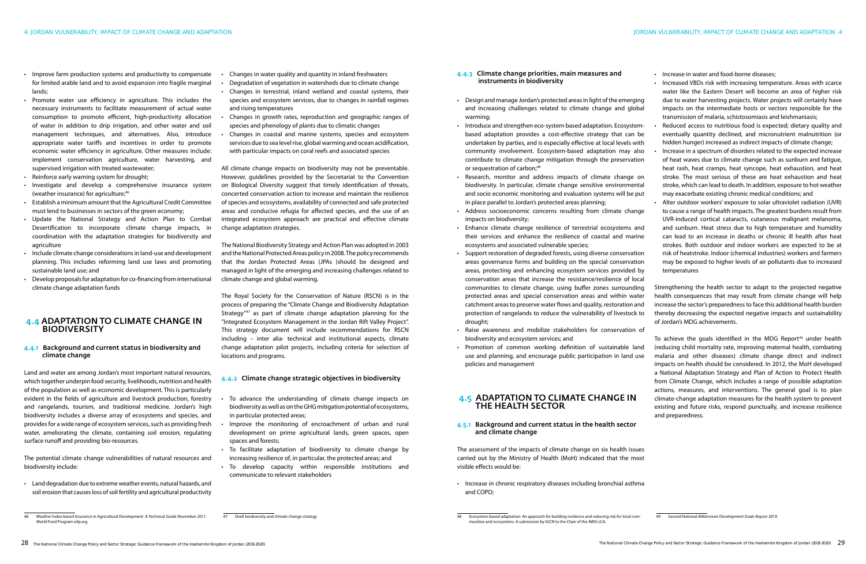• Increase in water and food-borne diseases;

- Improve farm production systems and productivity to compensate for limited arable land and to avoid expansion into fragile marginal lands;
- • Promote water use efficiency in agriculture. This includes the necessary instruments to facilitate measurement of actual water consumption to promote efficient, high-productivity allocation of water in addition to drip irrigation, and other water and soil management techniques, and alternatives. Also, introduce appropriate water tariffs and incentives in order to promote economic water efficiency in agriculture. Other measures include: implement conservation agriculture, water harvesting, and supervised irrigation with treated wastewater;
- • Reinforce early warning system for drought;
- • Investigate and develop a comprehensive insurance system (weather insurance) for agriculture;<sup>46</sup>
- • Establish a minimum amount that the Agricultural Credit Committee must lend to businesses in sectors of the green economy;
- • Update the National Strategy and Action Plan to Combat Desertification to incorporate climate change impacts, in coordination with the adaptation strategies for biodiversity and agriculture
- • Include climate change considerationsin land-use and development planning. This includes reforming land use laws and promoting sustainable land use; and
- Develop proposals for adaptation for co-financing from international climate change adaptation funds

### 4.4 Adaptation to climate change in **BIODIVERSITY**

#### 4.4.1 Background and current status in biodiversity and climate change

Land and water are among Jordan's most important natural resources, which together underpin food security, livelihoods, nutrition and health of the population as well as economic development. This is particularly evident in the fields of agriculture and livestock production, forestry and rangelands, tourism, and traditional medicine. Jordan's high biodiversity includes a diverse array of ecosystems and species, and provides for a wide range of ecosystem services, such as providing fresh water, ameliorating the climate, containing soil erosion, regulating surface runoff and providing bio-resources.

- Design and manage Jordan's protected areas in light of the emerging and increasing challenges related to climate change and global warming; • Increased VBDs risk with increasing temperature. Areas with scarce water like the Eastern Desert will become an area of higher risk due to water harvesting projects. Water projects will certainly have impacts on the intermediate hosts or vectors responsible for the transmission of malaria, schistosomiasis and leishmaniasis;
- Introduce and strengthen eco-system based adaptation. Ecosystembased adaptation provides a cost-effective strategy that can be undertaken by parties, and is especially effective at local levels with community involvement. Ecosystem-based adaptation may also contribute to climate change mitigation through the preservation or sequestration of carbon;<sup>48</sup> • Research, monitor and address impacts of climate change on biodiversity. In particular, climate change sensitive environmental Reduced access to nutritious food is expected; dietary quality and eventually quantity declined, and micronutrient malnutrition (or hidden hunger) increased as indirect impacts of climate change; Increase in a spectrum of disorders related to the expected increase of heat waves due to climate change such as sunburn and fatigue, heat rash, heat cramps, heat syncope, heat exhaustion, and heat stroke. The most serious of these are heat exhaustion and heat stroke, which can lead to death. In addition, exposure to hot weather may exacerbate existing chronic medical conditions; and
- and socio economic monitoring and evaluation systems will be put in place parallel to Jordan's protected areas planning; • Alter outdoor workers' exposure to solar ultraviolet radiation (UVR)
- impacts on biodiversity; their services and enhance the resilience of coastal and marine ecosystems and associated vulnerable species; areas governance forms and building on the special conservation areas, protecting and enhancing ecosystem services provided by to cause a range of health impacts. The greatest burdens result from UVR-induced cortical cataracts, cutaneous malignant melanoma, and sunburn. Heat stress due to high temperature and humidity can lead to an increase in deaths or chronic ill health after heat strokes. Both outdoor and indoor workers are expected to be at risk of heatstroke. Indoor (chemical industries) workers and farmers may be exposed to higher levels of air pollutants due to increased temperatures
- Address socioeconomic concerns resulting from climate change • Enhance climate change resilience of terrestrial ecosystems and • Support restoration of degraded forests, using diverse conservation
- conservation areas that increase the resistance/resilience of local communities to climate change, using buffer zones surrounding protected areas and special conservation areas and within water catchment areas to preserve water flows and quality, restoration and protection of rangelands to reduce the vulnerability of livestock to drought; Strengthening the health sector to adapt to the projected negative health consequences that may result from climate change will help increase the sector's preparedness to face this additional health burden thereby decreasing the expected negative impacts and sustainability of Jordan's MDG achievements.
- • Raise awareness and mobilize stakeholders for conservation of biodiversity and ecosystem services; and
- Promotion of common working definition of sustainable land use and planning, and encourage public participation in land use policies and management

### **4.5 ADAPTATION TO CLIMATE CHANGE IN** the health sector

The potential climate change vulnerabilities of natural resources and biodiversity include:

> • Increase in chronic respiratory diseases including bronchial asthma and COPD;

• Land degradation due to extreme weather events, natural hazards, and soil erosion that causes loss of soil fertility and agricultural productivity

#### 4.4.3 Climate change priorities, main measures and instruments in biodiversity

- Changes in water quality and quantity in inland freshwaters
- Degradation of vegetation in watersheds due to climate change
- Changes in terrestrial, inland wetland and coastal systems, their species and ecosystem services, due to changes in rainfall regimes and rising temperatures
- Changes in growth rates, reproduction and geographic ranges of species and phenology of plants due to climatic changes
- Changes in coastal and marine systems, species and ecosystem services due to sea level rise, global warming and ocean acidification, with particular impacts on coral reefs and associated species

- To advance the understanding of climate change impacts on biodiversity as well as on the GHG mitigation potential of ecosystems, in particular protected areas;
- Improve the monitoring of encroachment of urban and rural development on prime agricultural lands, green spaces, open spaces and forests;
- • To facilitate adaptation of biodiversity to climate change by increasing resilience of, in particular, the protected areas; and
- To develop capacity within responsible institutions and communicate to relevant stakeholders

#### 4.5.1 Background and current status in the health sector and climate change

The assessment of the impacts of climate change on six health issues carried out by the Ministry of Health (MoH) indicated that the most visible effects would be:

To achieve the goals identified in the MDG Report<sup>49</sup> under health (reducing child mortality rate, improving maternal health, combating malaria and other diseases) climate change direct and indirect impacts on health should be considered. In 2012, the MoH developed a National Adaptation Strategy and Plan of Action to Protect Health from Climate Change, which includes a range of possible adaptation actions, measures, and interventions. The general goal is to plan climate-change adaptation measures for the health system to prevent existing and future risks, respond punctually, and increase resilience and preparedness.

All climate change impacts on biodiversity may not be preventable. However, guidelines provided by the Secretariat to the Convention on Biological Diversity suggest that timely identification of threats, concerted conservation action to increase and maintain the resilience of species and ecosystems, availability of connected and safe protected areas and conducive refugia for affected species, and the use of an integrated ecosystem approach are practical and effective climate change adaptation strategies.

The National Biodiversity Strategy and Action Plan was adopted in 2003 and the National Protected Areas policy in 2008. The policy recommends that the Jordan Protected Areas (JPAs )should be designed and managed in light of the emerging and increasing challenges related to climate change and global warming.

The Royal Society for the Conservation of Nature (RSCN) is in the process of preparing the "Climate Change and Biodiversity Adaptation Strategy<sup>"47</sup> as part of climate change adaptation planning for the "Integrated Ecosystem Management in the Jordan Rift Valley Project". This strategy document will include recommendations for RSCN including – inter alia- technical and institutional aspects, climate change adaptation pilot projects, including criteria for selection of locations and programs.

#### 4.4.2 Climate change strategic objectives in biodiversity

28 The National Climate Change Policy and Sector Strategic Guidance Framework of the Hashemite Kingdom of Jordan (2013-2020) The National Climate Change Policy and Sector Strategic Guidance Framework of the Hashemite Kingd

49 Second National Millennium Development Goals Report 2010

<sup>46</sup> Weather Index-based Insurance in Agricultural Development. A Technical Guide November 2011. World Food Program wfp.org

<sup>47</sup> Draft biodiversity and climate change strategy 48 Ecosystem-based adaptation: An approach for building resilience and reducing risk for local com-munities and ecosystems. A submission by IUCN to the Chair of the AWG-LCA.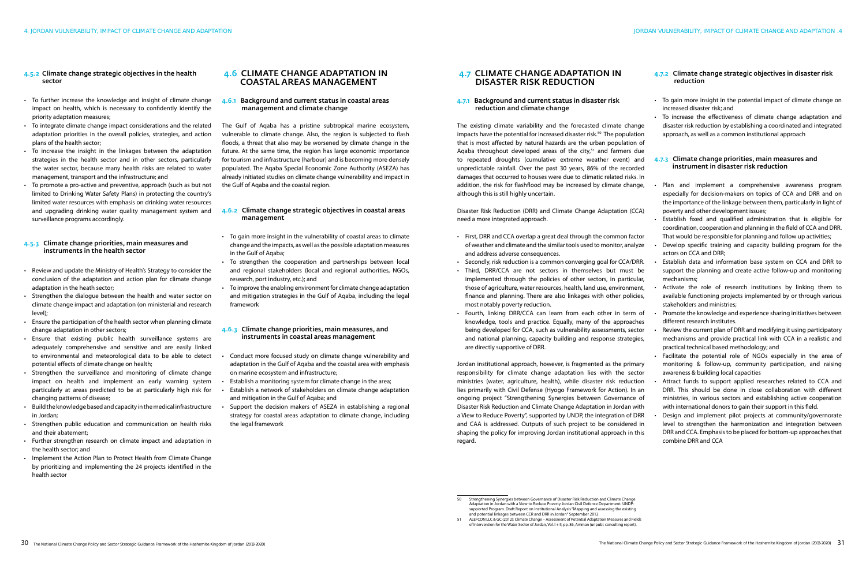#### 4.5.2 Climate change strategic objectives in the health sector

- To further increase the knowledge and insight of climate change impact on health, which is necessary to confidently identify the priority adaptation measures;
- To integrate climate change impact considerations and the related adaptation priorities in the overall policies, strategies, and action plans of the health sector;
- • To increase the insight in the linkages between the adaptation strategies in the health sector and in other sectors, particularly the water sector, because many health risks are related to water management, transport and the infrastructure; and
- To promote a pro-active and preventive, approach (such as but not limited to Drinking Water Safety Plans) in protecting the country's limited water resources with emphasis on drinking water resources and upgrading drinking water quality management system and surveillance programs accordingly.

#### 4.5.3 Climate change priorities, main measures and instruments in the health sector

- • Review and update the Ministry of Health's Strategy to consider the conclusion of the adaptation and action plan for climate change adaptation in the heath sector;
- Strengthen the dialogue between the health and water sector on climate change impact and adaptation (on ministerial and research level);
- Ensure the participation of the health sector when planning climate change adaptation in other sectors;
- Ensure that existing public health surveillance systems are adequately comprehensive and sensitive and are easily linked to environmental and meteorological data to be able to detect potential effects of climate change on health;
- Strengthen the surveillance and monitoring of climate change impact on health and implement an early warning system particularly at areas predicted to be at particularly high risk for changing patterns of disease;
- Build the knowledge based and capacity in the medical infrastructure in Jordan;
- • Strengthen public education and communication on health risks and their abatement;
- • Further strengthen research on climate impact and adaptation in the health sector; and
- Implement the Action Plan to Protect Health from Climate Change by prioritizing and implementing the 24 projects identified in the health sector

#### 4.7 Climate change adaptation in disaster risk reduction

#### 4.7.1 Background and current status in disaster risk reduction and climate change

#### 4.7.3 Climate change priorities, main measures and instrument in disaster risk reduction

- Plan and implement a comprehensive awareness program especially for decision-makers on topics of CCA and DRR and on the importance of the linkage between them, particularly in light of poverty and other development issues;
- Establish fixed and qualified administration that is eligible for coordination, cooperation and planning in the field of CCA and DRR.

The existing climate variability and the forecasted climate change impacts have the potential for increased disaster risk.<sup>50</sup> The population that is most affected by natural hazards are the urban population of Aqaba throughout developed areas of the city, $51$  and farmers due to repeated droughts (cumulative extreme weather event) and unpredictable rainfall. Over the past 30 years, 86% of the recorded damages that occurred to houses were due to climatic related risks. In addition, the risk for flashflood may be increased by climate change, although this is still highly uncertain.

Disaster Risk Reduction (DRR) and Climate Change Adaptation (CCA) need a more integrated approach.

- To gain more insight in the vulnerability of coastal areas to climate change and the impacts, as well as the possible adaptation measures in the Gulf of Aqaba;
- To strengthen the cooperation and partnerships between local and regional stakeholders (local and regional authorities, NGOs, research, port industry, etc.); and
- To improve the enabling environment for climate change adaptation and mitigation strategies in the Gulf of Aqaba, including the legal framework

- Conduct more focused study on climate change vulnerability and adaptation in the Gulf of Aqaba and the coastal area with emphasis on marine ecosystem and infrastructure;
- Establish a monitoring system for climate change in the area;
- Establish a network of stakeholders on climate change adaptation and mitigation in the Gulf of Aqaba; and
- Support the decision makers of ASEZA in establishing a regional strategy for coastal areas adaptation to climate change, including the legal framework

Jordan institutional approach, however, is fragmented as the primary responsibility for climate change adaptation lies with the sector ministries (water, agriculture, health), while disaster risk reduction lies primarily with Civil Defense (Hyogo Framework for Action). In an ongoing project "Strengthening Synergies between Governance of Disaster Risk Reduction and Climate Change Adaptation in Jordan with a View to Reduce Poverty", supported by UNDP, the integration of DRR and CAA is addressed. Outputs of such project to be considered in shaping the policy for improving Jordan institutional approach in this regard.

#### 4.7.2 Climate change strategic objectives in disaster risk reduction

- • First, DRR and CCA overlap a great deal through the common factor of weather and climate and the similar tools used to monitor, analyze and address adverse consequences. That would be responsible for planning and follow up activities; Develop specific training and capacity building program for the actors on CCA and DRR;
- • Secondly, risk reduction is a common converging goal for CCA/DRR. • Third, DRR/CCA are not sectors in themselves but must be implemented through the policies of other sectors, in particular, Establish data and information base system on CCA and DRR to support the planning and create active follow-up and monitoring mechanisms;
- those of agriculture, water resources, health, land use, environment, finance and planning. There are also linkages with other policies, most notably poverty reduction. Activate the role of research institutions by linking them to available functioning projects implemented by or through various stakeholders and ministries;
- Fourth, linking DRR/CCA can learn from each other in term of knowledge, tools and practice. Equally, many of the approaches being developed for CCA, such as vulnerability assessments, sector and national planning, capacity building and response strategies, are directly supportive of DRR. Promote the knowledge and experience sharing initiatives between different research institutes. Review the current plan of DRR and modifying it using participatory mechanisms and provide practical link with CCA in a realistic and practical technical based methodology; and
- • To gain more insight in the potential impact of climate change on increased disaster risk; and
- • To increase the effectiveness of climate change adaptation and disaster risk reduction by establishing a coordinated and integrated approach, as well as a common institutional approach
- 
- 

- • Facilitate the potential role of NGOs especially in the area of monitoring & follow-up, community participation, and raising awareness & building local capacities
- Attract funds to support applied researches related to CCA and DRR. This should be done in close collaboration with different ministries, in various sectors and establishing active cooperation with international donors to gain their support in this field.
- Design and implement pilot projects at community/governorate level to strengthen the harmonization and integration between DRR and CCA. Emphasis to be placed for bottom-up approaches that combine DRR and CCA

#### 4.6 Climate change adaptation in coastal areas management

#### 4.6.1 Background and current status in coastal areas management and climate change

The Gulf of Aqaba has a pristine subtropical marine ecosystem, vulnerable to climate change. Also, the region is subjected to flash floods, a threat that also may be worsened by climate change in the future. At the same time, the region has large economic importance for tourism and infrastructure (harbour) and is becoming more densely populated. The Aqaba Special Economic Zone Authority (ASEZA) has already initiated studies on climate change vulnerability and impact in the Gulf of Aqaba and the coastal region.

#### 4.6.2 Climate change strategic objectives in coastal areas management

#### 4.6.3 Climate change priorities, main measures, and instruments in coastal areas management

<sup>50</sup> Strengthening Synergies between Governance of Disaster Risk Reduction and Climate Change Adaptation in Jordan with a View to Reduce Poverty Jordan Civil Defence Department. UNDPsupported Program. Draft Report on Institutional Analysis "Mapping and assessing the existing

and potential linkages between CCR and DRR in Jordan" September 2012<br>151 ALEFCON LLC & GC (2012): Climate Change – Assessment of Potential Adaptation Measures and Fields<br>16 of Intervention for the Water Sector of Jord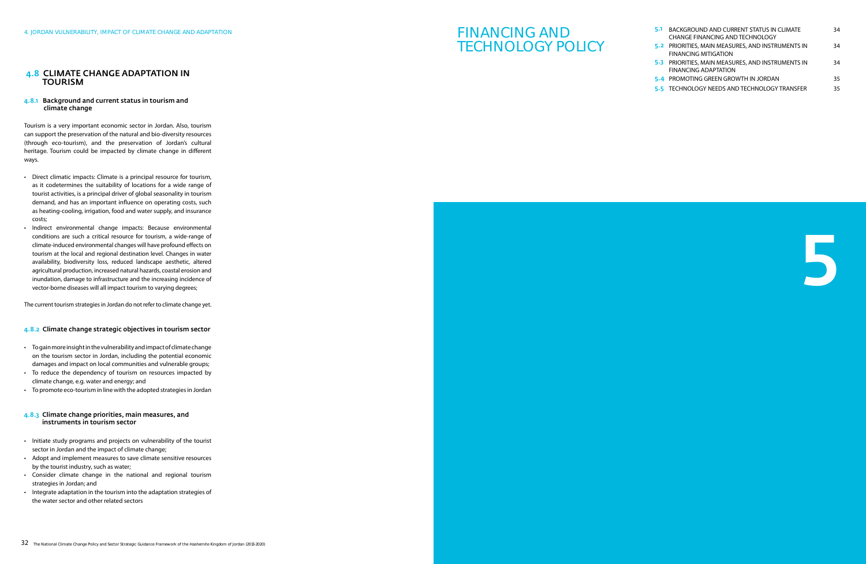5

#### 4.8 Climate change adaptation in **TOURISM**

# FINANCING AND TECHNOLOGY POLICY

| 5.1 - | <b>BACKGROUND AND CURRENT STATUS IN CLIMATE</b><br><b>CHANGE FINANCING AND TECHNOLOGY</b> | 34  |
|-------|-------------------------------------------------------------------------------------------|-----|
|       | 5.2 PRIORITIES, MAIN MEASURES, AND INSTRUMENTS IN<br><b>FINANCING MITIGATION</b>          | 34  |
|       | 5-3 PRIORITIES, MAIN MEASURES, AND INSTRUMENTS IN<br><b>FINANCING ADAPTATION</b>          | 34  |
|       | 5-4 PROMOTING GREEN GROWTH IN JORDAN                                                      | 35  |
|       | 5-5 TECHNOLOGY NEEDS AND TECHNOLOGY TRANSFER                                              | 35. |

#### 4.8.1 Background and current status in tourism and climate change

Tourism is a very important economic sector in Jordan. Also, tourism can support the preservation of the natural and bio-diversity resources (through eco-tourism), and the preservation of Jordan's cultural heritage. Tourism could be impacted by climate change in different ways.

- Direct climatic impacts: Climate is a principal resource for tourism, as it codetermines the suitability of locations for a wide range of tourist activities, is a principal driver of global seasonality in tourism demand, and has an important influence on operating costs, such as heating-cooling, irrigation, food and water supply, and insurance costs;
- • Indirect environmental change impacts: Because environmental conditions are such a critical resource for tourism, a wide-range of climate-induced environmental changes will have profound effects on tourism at the local and regional destination level. Changes in water availability, biodiversity loss, reduced landscape aesthetic, altered agricultural production, increased natural hazards, coastal erosion and inundation, damage to infrastructure and the increasing incidence of vector-borne diseases will all impact tourism to varying degrees;

- • Togainmoreinsightinthevulnerabilityandimpactof climatechange on the tourism sector in Jordan, including the potential economic damages and impact on local communities and vulnerable groups;
- To reduce the dependency of tourism on resources impacted by climate change, e.g. water and energy; and
- To promote eco-tourism in line with the adopted strategies in Jordan

- Initiate study programs and projects on vulnerability of the tourist sector in Jordan and the impact of climate change;
- Adopt and implement measures to save climate sensitive resources by the tourist industry, such as water;
- • Consider climate change in the national and regional tourism strategies in Jordan; and
- Integrate adaptation in the tourism into the adaptation strategies of the water sector and other related sectors

The current tourism strategies in Jordan do not refer to climate change yet.

#### 4.8.2 Climate change strategic objectives in tourism sector

#### 4.8.3 Climate change priorities, main measures, and instruments in tourism sector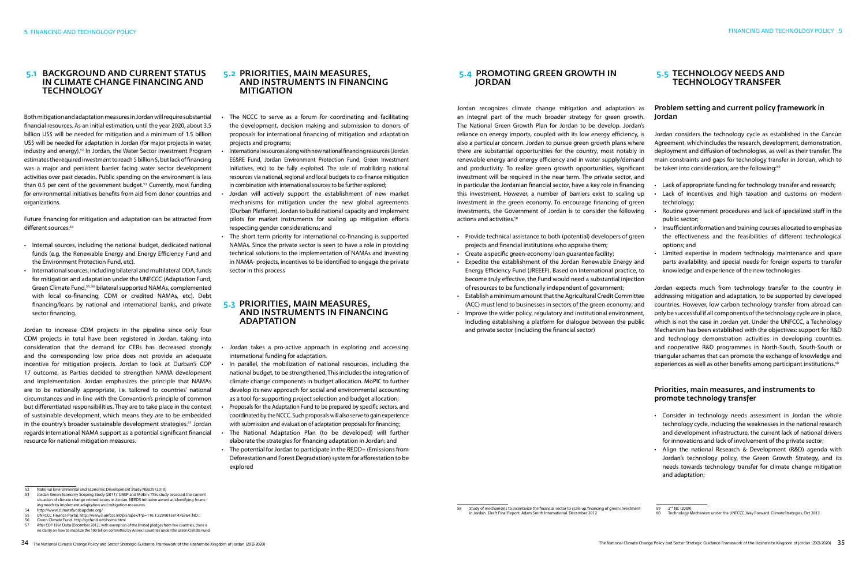#### 5.1 Background and current status in climate change financing and **TECHNOLOGY**

Future financing for mitigation and adaptation can be attracted from different sources:<sup>54</sup>

Both mitigation and adaptation measures in Jordan will require substantial financial resources. As an initial estimation, until the year 2020, about 3.5 billion US\$ will be needed for mitigation and a minimum of 1.5 billion US\$ will be needed for adaptation in Jordan (for major projects in water, industry and energy).52 In Jordan, the Water Sector Investment Program estimates the required investment to reach 5 billion \$, but lack of financing was a major and persistent barrier facing water sector development activities over past decades. Public spending on the environment is less than 0.5 per cent of the government budget.<sup>53</sup> Currently, most funding for environmental initiatives benefits from aid from donor countries and organizations.

- Internal sources, including the national budget, dedicated national funds (e.g. the Renewable Energy and Energy Efficiency Fund and the Environment Protection Fund, etc).
- International sources, including bilateral and multilateral ODA, funds for mitigation and adaptation under the UNFCCC (Adaptation Fund, Green Climate Fund,55, 56 bilateral supported NAMAs, complemented with local co-financing, CDM or credited NAMAs, etc). Debt financing/loans by national and international banks, and private sector financing.

#### 5.4 Promoting green growth in **JORDAN**

Jordan to increase CDM projects in the pipeline since only four CDM projects in total have been registered in Jordan, taking into consideration that the demand for CERs has decreased strongly and the corresponding low price does not provide an adequate incentive for mitigation projects. Jordan to look at Durban's COP 17 outcome, as Parties decided to strengthen NAMA development and implementation. Jordan emphasizes the principle that NAMAs are to be nationally appropriate, i.e. tailored to countries' national circumstances and in line with the Convention's principle of common but differentiated responsibilities. They are to take place in the context of sustainable development, which means they are to be embedded in the country's broader sustainable development strategies.<sup>57</sup> Jordan regards international NAMA support as a potential significant financial resource for national mitigation measures.

- Provide technical assistance to both (potential) developers of green projects and financial institutions who appraise them; • Insufficient information and training courses allocated to emphasize the effectiveness and the feasibilities of different technological options; and
- 
- • Create a specific green-economy loan guarantee facility; • Expedite the establishment of the Jordan Renewable Energy and Energy Efficiency Fund (JREEEF). Based on international practice, to become truly effective, the Fund would need a substantial injection of resources to be functionally independent of government; • Limited expertise in modern technology maintenance and spare parts availability, and special needs for foreign experts to transfer knowledge and experience of the new technologies Jordan expects much from technology transfer to the country in
- • Establish a minimum amount that the Agricultural Credit Committee (ACC) must lend to businesses in sectors of the green economy; and
- Improve the wider policy, regulatory and institutional environment, including establishing a platform for dialogue between the public and private sector (including the financial sector)

#### 5.2 Priorities, main measures, and instruments in financing **MITIGATION**

- The NCCC to serve as a forum for coordinating and facilitating the development, decision making and submission to donors of proposals for international financing of mitigation and adaptation projects and programs;
- International resources along with new national financing resources (Jordan EE&RE Fund, Jordan Environment Protection Fund, Green Investment Initiatives, etc) to be fully exploited. The role of mobilizing national resources via national, regional and local budgets to co-finance mitigation in combination with international sources to be further explored;
- Jordan will actively support the establishment of new market mechanisms for mitigation under the new global agreements (Durban Platform). Jordan to build national capacity and implement pilots for market instruments for scaling up mitigation efforts respecting gender considerations; and
- The short term priority for international co-financing is supported NAMAs. Since the private sector is seen to have a role in providing technical solutions to the implementation of NAMAs and investing in NAMA- projects, incentives to be identified to engage the private sector in this process

# 5.3 Priorities, main measures, and instruments in financing **ADAPTATION**

- Jordan takes a pro-active approach in exploring and accessing international funding for adaptation.
- In parallel, the mobilization of national resources, including the national budget, to be strengthened. This includes the integration of climate change components in budget allocation. MoPIC to further develop its new approach for social and environmental accounting as a tool for supporting project selection and budget allocation;
- Proposals for the Adaptation Fund to be prepared by specific sectors, and coordinated by the NCCC. Such proposals will also serve to gain experience with submission and evaluation of adaptation proposals for financing;
- The National Adaptation Plan (to be developed) will further elaborate the strategies for financing adaptation in Jordan; and
- The potential for Jordan to participate in the REDD+ (Emissions from Deforestation and Forest Degradation) system for afforestation to be explored

addressing mitigation and adaptation, to be supported by developed countries. However, low carbon technology transfer from abroad can only be successful if all components of the technology cycle are in place, which is not the case in Jordan yet. Under the UNFCCC, a Technology Mechanism has been established with the objectives: support for R&D and technology demonstration activities in developing countries, and cooperative R&D programmes in North-South, South-South or triangular schemes that can promote the exchange of knowledge and experiences as well as other benefits among participant institutions.<sup>60</sup>

Jordan recognizes climate change mitigation and adaptation as an integral part of the much broader strategy for green growth. The National Green Growth Plan for Jordan to be develop. Jordan's reliance on energy imports, coupled with its low energy efficiency, is also a particular concern. Jordan to pursue green growth plans where there are substantial opportunities for the country, most notably in renewable energy and energy efficiency and in water supply/demand and productivity. To realize green growth opportunities, significant investment will be required in the near term. The private sector, and in particular the Jordanian financial sector, have a key role in financing this investment. However, a number of barriers exist to scaling up investment in the green economy. To encourage financing of green investments, the Government of Jordan is to consider the following actions and activities.58 Jordan Jordan considers the technology cycle as established in the Cancún Agreement, which includes the research, development, demonstration, deployment and diffusion of technologies, as well as their transfer. The main constraints and gaps for technology transfer in Jordan, which to be taken into consideration, are the following:<sup>59</sup> • Lack of appropriate funding for technology transfer and research; • Lack of incentives and high taxation and customs on modern technology; Routine government procedures and lack of specialized staff in the public sector;

### 5.5 Technology needs and technology transfer

# Problem setting and current policy framework in

- 
- 
- 
- 

#### Priorities, main measures, and instruments to promote technology transfer

- • Consider in technology needs assessment in Jordan the whole technology cycle, including the weaknesses in the national research and development infrastructure, the current lack of national drivers for innovations and lack of involvement of the private sector;
- Align the national Research & Development (R&D) agenda with Jordan's technology policy, the Green Growth Strategy, and its needs towards technology transfer for climate change mitigation and adaptation;

- 
- 54 http://www.climatefundsupdate.org/ 55 UNFCCC Finance Portal. http://www3.unfccc.int/pls/apex/f?p=116:1:229901581476364::NO:::
- 56 Green Climate Fund. http://gcfund.net/home.html
- After COP 18 in Doha (December 2012), with exemption of the limited pledges from few countries, there is no clarity on how to mobilize the 100 billion committed by Annex I countries under the Green Climate Fund.

<sup>59</sup> 2nd NC (2009) Fig. 1.12 (2000)<br>Technology Mechanism under the UNFCCC; Way Forward. ClimateStrategies, Oct 2012

<sup>52</sup> National Environmental and Economic Development Study NEEDS (2010)

<sup>53</sup> Jordan Green Economy Scoping Study (2011). UNEP and MoEnv. This study assessed the current situation of climate change related issues in Jordan. NEEDS initiative aimed at identifying financing needs to implement adaptation and mitigation measures.

<sup>58</sup> Study of mechanisms to incentivize the financial sector to scale up financing of green investment in Jordan . Draft Final Report. Adam Smith International. December 2012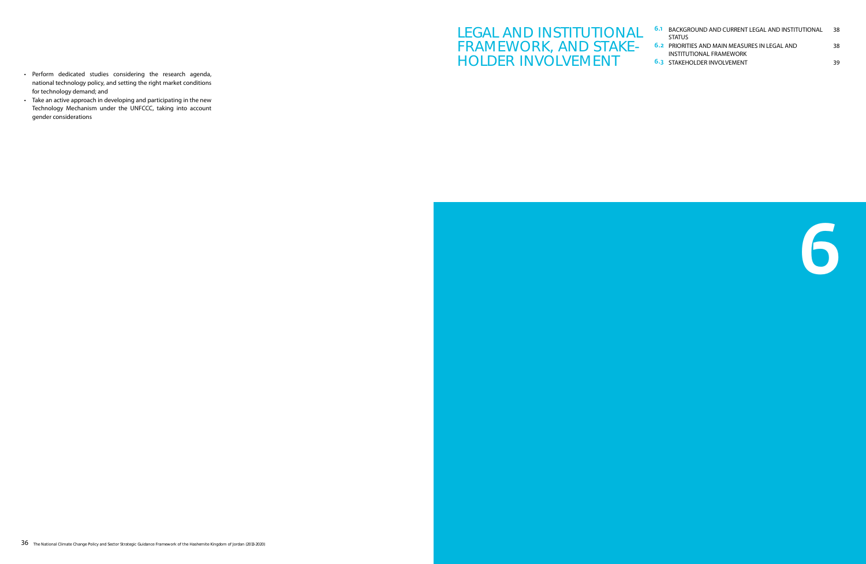# LEGAL AND INSTITUTIONAL FRAMEWORK, AND STAKE-HOLDER INVOLVEMENT



- • Perform dedicated studies considering the research agenda, national technology policy, and setting the right market conditions for technology demand; and
- Take an active approach in developing and participating in the new Technology Mechanism under the UNFCCC, taking into account gender considerations

| <b>6.1 BACKGROUND AND CURRENT LEGAL AND INSTITUTIONAL</b><br><b>STATUS</b>      | 38. |
|---------------------------------------------------------------------------------|-----|
| <b>6.2 PRIORITIES AND MAIN MEASURES IN LEGAL AND</b><br>INSTITUTIONAL FRAMEWORK | 38  |
| <b>6.3 STAKEHOLDER INVOLVEMENT</b>                                              | 39. |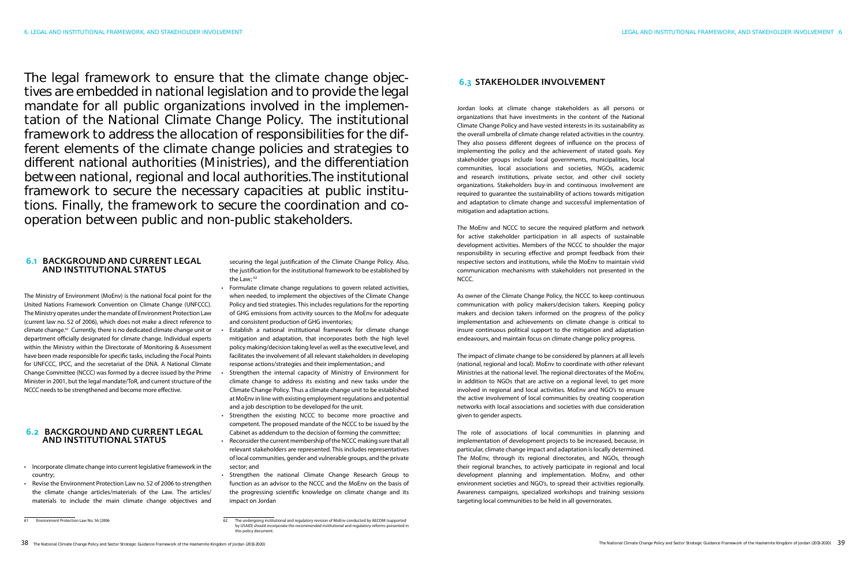The legal framework to ensure that the climate change objectives are embedded in national legislation and to provide the legal mandate for all public organizations involved in the implementation of the National Climate Change Policy. The institutional framework to address the allocation of responsibilities for the different elements of the climate change policies and strategies to different national authorities (Ministries), and the differentiation between national, regional and local authorities.The institutional framework to secure the necessary capacities at public institutions. Finally, the framework to secure the coordination and cooperation between public and non-public stakeholders.

### 6.3 Stakeholder involvement

Jordan looks at climate change stakeholders as all persons or organizations that have investments in the content of the National Climate Change Policy and have vested interests in its sustainability as the overall umbrella of climate change related activities in the country. They also possess different degrees of influence on the process of implementing the policy and the achievement of stated goals. Key stakeholder groups include local governments, municipalities, local communities, local associations and societies, NGOs, academic and research institutions, private sector, and other civil society organizations. Stakeholders buy-in and continuous involvement are required to guarantee the sustainability of actions towards mitigation and adaptation to climate change and successful implementation of mitigation and adaptation actions.

The MoEnv and NCCC to secure the required platform and network for active stakeholder participation in all aspects of sustainable development activities. Members of the NCCC to shoulder the major responsibility in securing effective and prompt feedback from their respective sectors and institutions, while the MoEnv to maintain vivid communication mechanisms with stakeholders not presented in the NCCC.

As owner of the Climate Change Policy, the NCCC to keep continuous communication with policy makers/decision takers. Keeping policy makers and decision takers informed on the progress of the policy implementation and achievements on climate change is critical to insure continuous political support to the mitigation and adaptation endeavours, and maintain focus on climate change policy progress.

The impact of climate change to be considered by planners at all levels (national, regional and local). MoEnv to coordinate with other relevant Ministries at the national level. The regional directorates of the MoEnv, in addition to NGOs that are active on a regional level, to get more involved in regional and local activities. MoEnv and NGO's to ensure the active involvement of local communities by creating cooperation networks with local associations and societies with due consideration given to gender aspects.

The role of associations of local communities in planning and implementation of development projects to be increased, because, in particular, climate change impact and adaptation is locally determined. The MoEnv, through its regional directorates, and NGOs, through their regional branches, to actively participate in regional and local development planning and implementation. MoEnv, and other environment societies and NGO's, to spread their activities regionally. Awareness campaigns, specialized workshops and training sessions targeting local communities to be held in all governorates.

- 
- 
- 
- 
- 
- 
- 
- 
- 
- 
- 
- 
- 
- 
- 
- 
- 
- 
- 
- 
- 
- 
- 
- Formulate climate change regulations to govern related activities, when needed, to implement the objectives of the Climate Change Policy and tied strategies. This includes regulations for the reporting of GHG emissions from activity sources to the MoEnv for adequate and consistent production of GHG inventories;
- Establish a national institutional framework for climate change mitigation and adaptation, that incorporates both the high level policy making/decision taking level as well as the executive level, and facilitates the involvement of all relevant stakeholders in developing response actions/strategies and their implementation.; and
- Strengthen the internal capacity of Ministry of Environment for climate change to address its existing and new tasks under the Climate Change Policy. Thus a climate change unit to be established at MoEnv in line with existing employment regulations and potential and a job description to be developed for the unit.
- Strengthen the existing NCCC to become more proactive and competent. The proposed mandate of the NCCC to be issued by the Cabinet as addendum to the decision of forming the committee;
- Reconsider the current membership of the NCCC making sure that all relevant stakeholders are represented. This includes representatives of local communities, gender and vulnerable groups, and the private sector; and
- Strengthen the national Climate Change Research Group to function as an advisor to the NCCC and the MoEnv on the basis of the progressing scientific knowledge on climate change and its impact on Jordan

### 6.1 Background and current legal and institutional status

The Ministry of Environment (MoEnv) is the national focal point for the United Nations Framework Convention on Climate Change (UNFCCC). The Ministry operates under the mandate of Environment Protection Law (current law no. 52 of 2006), which does not make a direct reference to climate change.61 Currently, there is no dedicated climate change unit or department officially designated for climate change. Individual experts within the Ministry within the Directorate of Monitoring & Assessment have been made responsible for specific tasks, including the Focal Points for UNFCCC, IPCC, and the secretariat of the DNA. A National Climate Change Committee (NCCC) was formed by a decree issued by the Prime Minister in 2001, but the legal mandate/ToR, and current structure of the NCCC needs to be strengthened and become more effective.

#### 6.2 Background and current legal and institutional status

- • Incorporate climate change into current legislative framework in the country;
- Revise the Environment Protection Law no. 52 of 2006 to strengthen the climate change articles/materials of the Law. The articles/ materials to include the main climate change objectives and

securing the legal justification of the Climate Change Policy. Also, the justification for the institutional framework to be established by the Law; 62

Environment Protection Law No. 56 (2006 62 The undergoing institutional and regulatory revision of MoEnv conducted by AECOM (supported by USAID) should incorporate the recommended institutional and regulatory reforms presented in this policy document.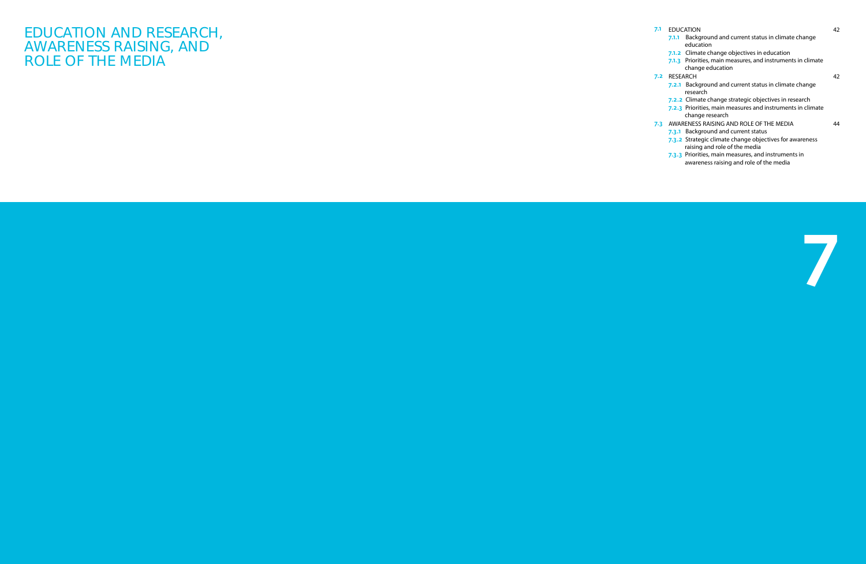| 7.1 | <b>EDUCATION</b>                                                                         | 42 |
|-----|------------------------------------------------------------------------------------------|----|
|     | 7.1.1 Background and current status in climate change<br>education                       |    |
|     | 7.1.2 Climate change objectives in education                                             |    |
|     | 7.1.3 Priorities, main measures, and instruments in climate<br>change education          |    |
| 7.2 | RESEARCH                                                                                 | 42 |
|     | 7.2.1 Background and current status in climate change<br>research                        |    |
|     | <b>7.2.2</b> Climate change strategic objectives in research                             |    |
|     | 7.2.3 Priorities, main measures and instruments in climate<br>change research            |    |
|     | 7-3 AWARENESS RAISING AND ROLE OF THE MEDIA                                              | 44 |
|     | 7.3.1 Background and current status                                                      |    |
|     | 7.3.2 Strategic climate change objectives for awareness<br>raising and role of the media |    |
|     | 7.3.3 Priorities, main measures, and instruments in                                      |    |

awareness raising and role of the media

EDUCATION AND RESEARCH, AWARENESS RAISING, AND ROLE OF THE MEDIA

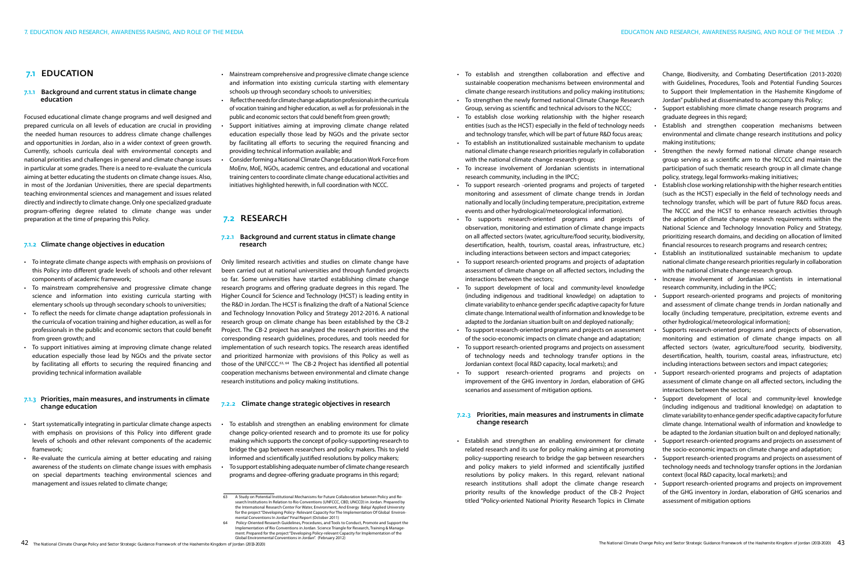- Mainstream comprehensive and progressive climate change science and information into existing curricula starting with elementary schools up through secondary schools to universities;
- • Reflect the needs for climate change adaptation professionals in the curricula of vocation training and higher education, as well as for professionals in the public and economic sectors that could benefit from green growth;
- Support initiatives aiming at improving climate change related education especially those lead by NGOs and the private sector by facilitating all efforts to securing the required financing and providing technical information available; and
- Consider forming a National Climate Change Education Work Force from MoEnv, MoE, NGOs, academic centres, and educational and vocational training centers to coordinate climate change educational activities and initiatives highlighted herewith, in full coordination with NCCC.

#### 7.2.3 Priorities, main measures and instruments in climate change research

- To establish and strengthen an enabling environment for climate change policy-oriented research and to promote its use for policy making which supports the concept of policy-supporting research to bridge the gap between researchers and policy makers. This to yield informed and scientifically justified resolutions by policy makers;
- To support establishing adequate number of climate change research programs and degree-offering graduate programs in this regard;

• Support establishing more climate change research programs and

- To establish and strengthen collaboration and effective and sustainable cooperation mechanisms between environmental and climate change research institutions and policy making institutions; • To strengthen the newly formed national Climate Change Research Change, Biodiversity, and Combating Desertification (2013-2020) with Guidelines, Procedures, Tools and Potential Funding Sources to Support their Implementation in the Hashemite Kingdome of Jordan" published at disseminated to accompany this Policy;
- Group, serving as scientific and technical advisors to the NCCC;
- To establish close working relationship with the higher research entities (such as the HCST) especially in the field of technology needs and technology transfer, which will be part of future R&D focus areas; • To establish an institutionalized sustainable mechanism to update graduate degrees in this regard; Establish and strengthen cooperation mechanisms between environmental and climate change research institutions and policy making institutions;
- national climate change research priorities regularly in collaboration with the national climate change research group; research community, including in the IPCC; Strengthen the newly formed national climate change research group serving as a scientific arm to the NCCCC and maintain the participation of such thematic research group in all climate change policy, strategy, legal formworks-making initiatives;
- • To increase involvement of Jordanian scientists in international
- To support research -oriented programs and projects of targeted monitoring and assessment of climate change trends in Jordan nationally and locally (including temperature, precipitation, extreme events and other hydrological/meteorological information). • To supports research-oriented programs and projects of observation, monitoring and estimation of climate change impacts on all affected sectors (water, agriculture/food security, biodiversity, Establish close working relationship with the higher research entities (such as the HCST) especially in the field of technology needs and technology transfer, which will be part of future R&D focus areas. The NCCC and the HCST to enhance research activities through the adoption of climate change research requirements within the National Science and Technology Innovation Policy and Strategy, prioritizing research domains, and deciding on allocation of limited
- desertification, health, tourism, coastal areas, infrastructure, etc.) including interactions between sectors and impact categories; financial resources to research programs and research centres; Establish an institutionalized sustainable mechanism to update
- To support research-oriented programs and projects of adaptation assessment of climate change on all affected sectors, including the interactions between the sectors; national climate change research priorities regularly in collaboration with the national climate change research group. Increase involvement of Jordanian scientists in international
- • To support development of local and community-level knowledge (including indigenous and traditional knowledge) on adaptation to climate variability to enhance gender specific adaptive capacity for future climate change. International wealth of information and knowledge to be adapted to the Jordanian situation built on and deployed nationally; Support research-oriented programs and projects of monitoring and assessment of climate change trends in Jordan nationally and locally (including temperature, precipitation, extreme events and other hydrological/meteorological information);
- To support research-oriented programs and projects on assessment of the socio-economic impacts on climate change and adaptation; • To support research-oriented programs and projects on assessment of technology needs and technology transfer options in the Supports research-oriented programs and projects of observation, monitoring and estimation of climate change impacts on all affected sectors (water, agriculture/food security, biodiversity, desertification, health, tourism, coastal areas, infrastructure, etc) including interactions between sectors and impact categories;
- Jordanian context (local R&D capacity, local markets); and
- • To support research-oriented programs and projects on improvement of the GHG inventory in Jordan, elaboration of GHG scenarios and assessment of mitigation options. Support research-oriented programs and projects of adaptation assessment of climate change on all affected sectors, including the interactions between the sectors;

### 7.2 RESEARCH

#### 7.2.1 Background and current status in climate change research

Support development of local and community-level knowledge (including indigenous and traditional knowledge) on adaptation to climate variability to enhance gender specific adaptive capacity for future climate change. International wealth of information and knowledge to be adapted to the Jordanian situation built on and deployed nationally;

• Establish and strengthen an enabling environment for climate related research and its use for policy making aiming at promoting policy-supporting research to bridge the gap between researchers and policy makers to yield informed and scientifically justified resolutions by policy makers. In this regard, relevant national research institutions shall adopt the climate change research priority results of the knowledge product of the CB-2 Project titled "Policy-oriented National Priority Research Topics in Climate Support research-oriented programs and projects on assessment of the socio-economic impacts on climate change and adaptation; Support research-oriented programs and projects on assessment of technology needs and technology transfer options in the Jordanian context (local R&D capacity, local markets); and Support research-oriented programs and projects on improvement of the GHG inventory in Jordan, elaboration of GHG scenarios and assessment of mitigation options

Only limited research activities and studies on climate change have been carried out at national universities and through funded projects so far. Some universities have started establishing climate change research programs and offering graduate degrees in this regard. The Higher Council for Science and Technology (HCST) is leading entity in the R&D in Jordan. The HCST is finalizing the draft of a National Science and Technology Innovation Policy and Strategy 2012-2016. A national research group on climate change has been established by the CB-2 Project. The CB-2 project has analyzed the research priorities and the corresponding research guidelines, procedures, and tools needed for implementation of such research topics. The research areas identified and prioritized harmonize with provisions of this Policy as well as those of the UNFCCC.63, 64 The CB-2 Project has identified all potential cooperation mechanisms between environmental and climate change research institutions and policy making institutions.

#### 7.2.2 Climate change strategic objectives in research

research community, including in the IPCC;

### 7.1 EDUCATION

#### 7.1.1 Background and current status in climate change education

Focused educational climate change programs and well designed and prepared curricula on all levels of education are crucial in providing the needed human resources to address climate change challenges and opportunities in Jordan, also in a wider context of green growth. Currently, schools curricula deal with environmental concepts and national priorities and challenges in general and climate change issues in particular at some grades. There is a need to re-evaluate the curricula aiming at better educating the students on climate change issues. Also, in most of the Jordanian Universities, there are special departments teaching environmental sciences and management and issues related directly and indirectly to climate change. Only one specialized graduate program-offering degree related to climate change was under preparation at the time of preparing this Policy.

#### 7.1.2 Climate change objectives in education

- • To integrate climate change aspects with emphasis on provisions of this Policy into different grade levels of schools and other relevant components of academic framework;
- To mainstream comprehensive and progressive climate change science and information into existing curricula starting with elementary schools up through secondary schools to universities;
- • To reflect the needs for climate change adaptation professionals in the curricula of vocation training and higher education, as well as for professionals in the public and economic sectors that could benefit from green growth: and
- • To support initiatives aiming at improving climate change related education especially those lead by NGOs and the private sector by facilitating all efforts to securing the required financing and providing technical information available

#### 7.1.3 Priorities, main measures, and instruments in climate change education

- • Start systematically integrating in particular climate change aspects with emphasis on provisions of this Policy into different grade levels of schools and other relevant components of the academic framework;
- Re-evaluate the curricula aiming at better educating and raising awareness of the students on climate change issues with emphasis on special departments teaching environmental sciences and management and issues related to climate change;

64 Policy-Oriented Research Guidelines, Procedures, and Tools to Conduct, Promote and Support the entation of Rio Conventions in Jordan. Science Triangle for Research, Training & Manage ment. Prepared for the project "Developing Policy-relevant Capacity for Implementation of the Global Environmental Conventions in Jordan". (February 2012)

<sup>63</sup> A Study on Potential Institutional Mechanisms for Future Collaboration between Policy and Research Institutions In Relation to Rio Conventions (UNFCCC, CBD, UNCCD) in Jordan. Prepared by the International Research Center For Water, Environment, And Energy Balqa' Applied University for the project "Developing Policy- Relevant Capacity For The Implementation Of Global Environmental Conventions In Jordan" Final Report (October 2011)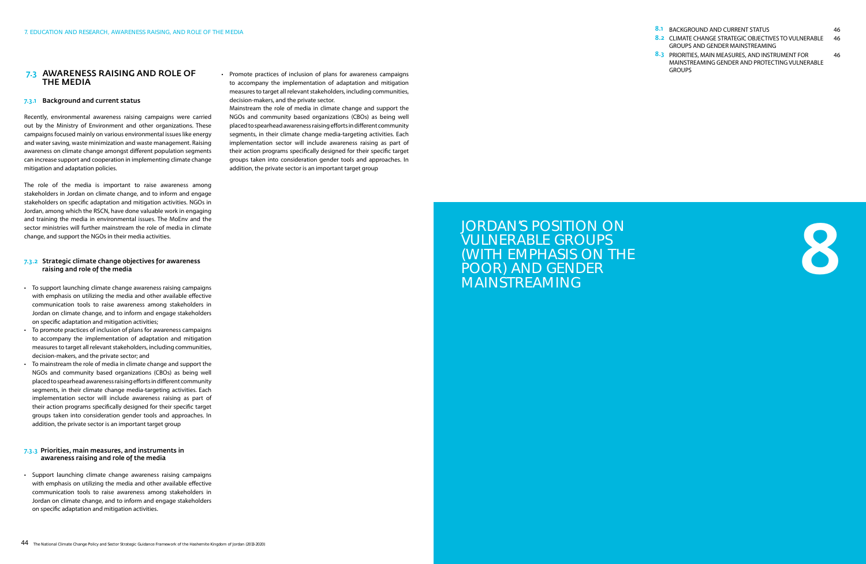

| 8.1 BACKGROUND AND CURRENT STATUS                     | 46 |
|-------------------------------------------------------|----|
| 8.2 CLIMATE CHANGE STRATEGIC OBJECTIVES TO VULNERABLE | 46 |
| <b>GROUPS AND GENDER MAINSTREAMING</b>                |    |
| 8.3 PRIORITIES, MAIN MEASURES, AND INSTRUMENT FOR     | 46 |
| MAINSTREAMING GENDER AND PROTECTING VULNERABLE        |    |
| <b>GROUPS</b>                                         |    |

# JORDAN'S POSITION ON VULNERABLE GROUPS (WITH EMPHASIS ON THE POOR) AND GENDER MAINSTREAMING

• Promote practices of inclusion of plans for awareness campaigns to accompany the implementation of adaptation and mitigation measures to target all relevant stakeholders, including communities, decision-makers, and the private sector.

Mainstream the role of media in climate change and support the NGOs and community based organizations (CBOs) as being well placed to spearhead awareness raising efforts in different community segments, in their climate change media-targeting activities. Each implementation sector will include awareness raising as part of their action programs specifically designed for their specific target groups taken into consideration gender tools and approaches. In addition, the private sector is an important target group

#### 7.3 Awareness raising and role of the media

#### 7.3.1 Background and current status

Recently, environmental awareness raising campaigns were carried out by the Ministry of Environment and other organizations. These campaigns focused mainly on various environmental issues like energy and water saving, waste minimization and waste management. Raising awareness on climate change amongst different population segments can increase support and cooperation in implementing climate change mitigation and adaptation policies.

- To support launching climate change awareness raising campaigns with emphasis on utilizing the media and other available effective communication tools to raise awareness among stakeholders in Jordan on climate change, and to inform and engage stakeholders on specific adaptation and mitigation activities;
- • To promote practices of inclusion of plans for awareness campaigns to accompany the implementation of adaptation and mitigation measures to target all relevant stakeholders, including communities, decision-makers, and the private sector; and
- • To mainstream the role of media in climate change and support the NGOs and community based organizations (CBOs) as being well placed to spearhead awareness raising efforts in different community segments, in their climate change media-targeting activities. Each implementation sector will include awareness raising as part of their action programs specifically designed for their specific target groups taken into consideration gender tools and approaches. In addition, the private sector is an important target group

• Support launching climate change awareness raising campaigns with emphasis on utilizing the media and other available effective communication tools to raise awareness among stakeholders in Jordan on climate change, and to inform and engage stakeholders on specific adaptation and mitigation activities.

The role of the media is important to raise awareness among stakeholders in Jordan on climate change, and to inform and engage stakeholders on specific adaptation and mitigation activities. NGOs in Jordan, among which the RSCN, have done valuable work in engaging and training the media in environmental issues. The MoEnv and the sector ministries will further mainstream the role of media in climate change, and support the NGOs in their media activities.

#### 7.3.2 Strategic climate change objectives for awareness raising and role of the media

#### 7.3.3 Priorities, main measures, and instruments in awareness raising and role of the media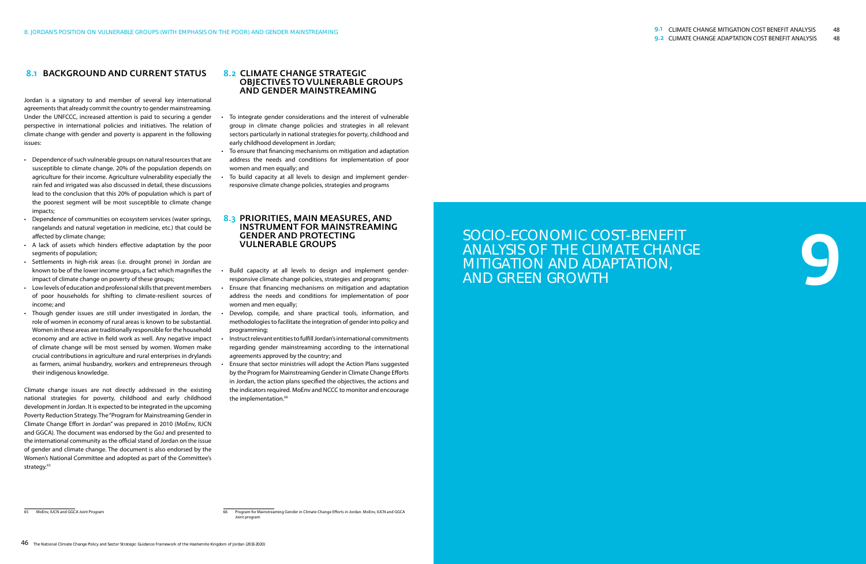

# SOCIO-ECONOMIC COST-BENEFIT ANALYSIS OF THE CLIMATE CHANGE MITIGATION AND ADAPTATION, AND GREEN GROWTH

### 8.1 Background and current status

Jordan is a signatory to and member of several key international agreements that already commit the country to gender mainstreaming. Under the UNFCCC, increased attention is paid to securing a gender perspective in international policies and initiatives. The relation of climate change with gender and poverty is apparent in the following issues:

- Dependence of such vulnerable groups on natural resources that are susceptible to climate change. 20% of the population depends on agriculture for their income. Agriculture vulnerability especially the rain fed and irrigated was also discussed in detail, these discussions lead to the conclusion that this 20% of population which is part of the poorest segment will be most susceptible to climate change impacts;
- Dependence of communities on ecosystem services (water springs, rangelands and natural vegetation in medicine, etc.) that could be affected by climate change;
- • A lack of assets which hinders effective adaptation by the poor segments of population;
- • Settlements in high-risk areas (i.e. drought prone) in Jordan are known to be of the lower income groups, a fact which magnifies the impact of climate change on poverty of these groups;
- Low levels of education and professional skills that prevent members of poor households for shifting to climate-resilient sources of income; and
- Though gender issues are still under investigated in Jordan, the role of women in economy of rural areas is known to be substantial. Women in these areas are traditionally responsible for the household economy and are active in field work as well. Any negative impact of climate change will be most sensed by women. Women make crucial contributions in agriculture and rural enterprises in drylands as farmers, animal husbandry, workers and entrepreneurs through their indigenous knowledge.

Climate change issues are not directly addressed in the existing national strategies for poverty, childhood and early childhood development in Jordan. It is expected to be integrated in the upcoming Poverty Reduction Strategy. The "Program for Mainstreaming Gender in Climate Change Effort in Jordan" was prepared in 2010 (MoEnv, IUCN and GGCA). The document was endorsed by the GoJ and presented to the international community as the official stand of Jordan on the issue of gender and climate change. The document is also endorsed by the Women's National Committee and adopted as part of the Committee's strategy.<sup>65</sup>

- To integrate gender considerations and the interest of vulnerable group in climate change policies and strategies in all relevant sectors particularly in national strategies for poverty, childhood and early childhood development in Jordan;
- To ensure that financing mechanisms on mitigation and adaptation address the needs and conditions for implementation of poor women and men equally; and
- To build capacity at all levels to design and implement genderresponsive climate change policies, strategies and programs

#### 8.2 Climate change strategic objectives to vulnerable groups and gender mainstreaming

#### 8.3 Priorities, main measures, and instrument for mainstreaming gender and protecting vulnerable groups

- Build capacity at all levels to design and implement genderresponsive climate change policies, strategies and programs;
- Ensure that financing mechanisms on mitigation and adaptation address the needs and conditions for implementation of poor women and men equally;
- Develop, compile, and share practical tools, information, and methodologies to facilitate the integration of gender into policy and programming;
- Instruct relevant entities to fulfill Jordan's international commitments regarding gender mainstreaming according to the international agreements approved by the country; and
- Ensure that sector ministries will adopt the Action Plans suggested by the Program for Mainstreaming Gender in Climate Change Efforts in Jordan, the action plans specified the objectives, the actions and the indicators required. MoEnv and NCCC to monitor and encourage the implementation.<sup>66</sup>

<sup>65</sup> MoEnv, IUCN and GGCA Joint Program 66 CHANGER CONTENT CONTENT FOR PROGRAM FOR PROGRAM FOR MAINStreaming Gender in Climate Change Efforts in Jordan. MoEnv, IUCN and GGC Joint program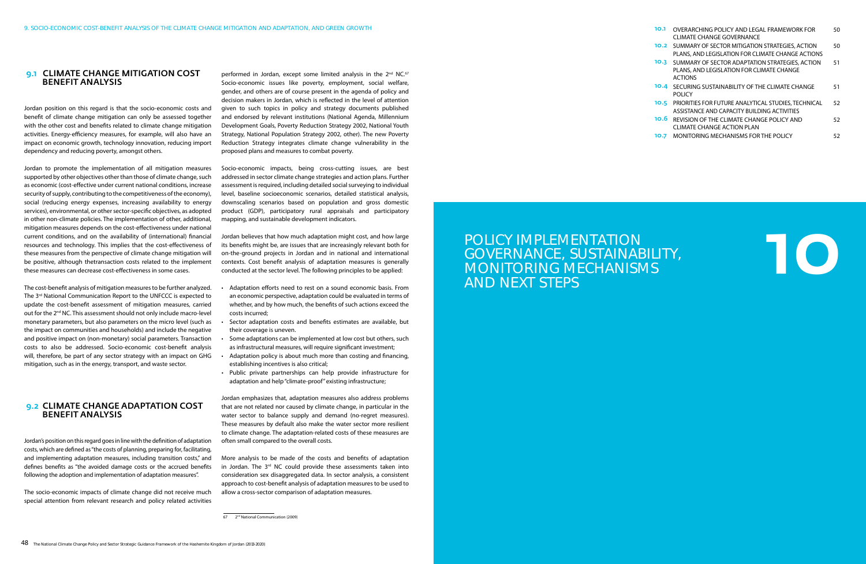10

# POLICY IMPLEMENTATION GOVERNANCE, SUSTAINABILITY, MONITORING MECHANISMS AND NEXT STEPS

| 10.1 | OVERARCHING POLICY AND LEGAL FRAMEWORK FOR<br><b>CLIMATE CHANGE GOVERNANCE</b>                                 | 50 |
|------|----------------------------------------------------------------------------------------------------------------|----|
| 10.2 | SUMMARY OF SECTOR MITIGATION STRATEGIES, ACTION<br>PLANS, AND LEGISLATION FOR CLIMATE CHANGE ACTIONS           | 50 |
| 10.3 | SUMMARY OF SECTOR ADAPTATION STRATEGIES, ACTION<br>PLANS, AND LEGISLATION FOR CLIMATE CHANGE<br><b>ACTIONS</b> | 51 |
| 10.4 | SECURING SUSTAINABILITY OF THE CLIMATE CHANGE<br><b>POLICY</b>                                                 | 51 |
| 10.5 | <b>PRIORITIES FOR FUTURE ANALYTICAL STUDIES. TECHNICAL</b><br>ASSISTANCE AND CAPACITY BUILDING ACTIVITIES      | 52 |
| 10.6 | REVISION OF THE CLIMATE CHANGE POLICY AND<br><b>CLIMATE CHANGE ACTION PLAN</b>                                 | 52 |
| 10.7 | MONITORING MECHANISMS FOR THE POLICY                                                                           | 52 |

#### 9.1 Climate change mitigation cost benefit analysis

Jordan position on this regard is that the socio-economic costs and benefit of climate change mitigation can only be assessed together with the other cost and benefits related to climate change mitigation activities. Energy-efficiency measures, for example, will also have an impact on economic growth, technology innovation, reducing import dependency and reducing poverty, amongst others.

Jordan to promote the implementation of all mitigation measures supported by other objectives other than those of climate change, such as economic (cost-effective under current national conditions, increase security of supply, contributing to the competitiveness of the economy), social (reducing energy expenses, increasing availability to energy services), environmental, or other sector-specific objectives, as adopted in other non-climate policies. The implementation of other, additional, mitigation measures depends on the cost-effectiveness under national current conditions, and on the availability of (international) financial resources and technology. This implies that the cost-effectiveness of these measures from the perspective of climate change mitigation will be positive, although thetransaction costs related to the implement these measures can decrease cost-effectiveness in some cases.

performed in Jordan, except some limited analysis in the 2<sup>nd</sup> NC.<sup>67</sup> Socio-economic issues like poverty, employment, social welfare, gender, and others are of course present in the agenda of policy and decision makers in Jordan, which is reflected in the level of attention given to such topics in policy and strategy documents published and endorsed by relevant institutions (National Agenda, Millennium Development Goals, Poverty Reduction Strategy 2002, National Youth Strategy, National Population Strategy 2002, other). The new Poverty Reduction Strategy integrates climate change vulnerability in the proposed plans and measures to combat poverty.

The cost-benefit analysis of mitigation measures to be further analyzed. The 3<sup>rd</sup> National Communication Report to the UNFCCC is expected to update the cost-benefit assessment of mitigation measures, carried out for the 2nd NC. This assessment should not only include macro-level monetary parameters, but also parameters on the micro level (such as the impact on communities and households) and include the negative and positive impact on (non-monetary) social parameters. Transaction costs to also be addressed. Socio-economic cost-benefit analysis will, therefore, be part of any sector strategy with an impact on GHG mitigation, such as in the energy, transport, and waste sector.

- Adaptation efforts need to rest on a sound economic basis. From an economic perspective, adaptation could be evaluated in terms of whether, and by how much, the benefits of such actions exceed the costs incurred;
- Sector adaptation costs and benefits estimates are available, but their coverage is uneven.
- Some adaptations can be implemented at low cost but others, such as infrastructural measures, will require significant investment;
- Adaptation policy is about much more than costing and financing, establishing incentives is also critical;
- • Public private partnerships can help provide infrastructure for adaptation and help "climate-proof" existing infrastructure;

#### 9.2 Climate change adaptation cost benefit analysis

Jordan's position on this regard goes in line with the definition of adaptation costs, which are defined as "the costs of planning, preparing for, facilitating, and implementing adaptation measures, including transition costs," and defines benefits as "the avoided damage costs or the accrued benefits following the adoption and implementation of adaptation measures".

The socio-economic impacts of climate change did not receive much special attention from relevant research and policy related activities Socio-economic impacts, being cross-cutting issues, are best addressed in sector climate change strategies and action plans. Further assessment is required, including detailed social surveying to individual level, baseline socioeconomic scenarios, detailed statistical analysis, downscaling scenarios based on population and gross domestic product (GDP), participatory rural appraisals and participatory mapping, and sustainable development indicators.

Jordan believes that how much adaptation might cost, and how large its benefits might be, are issues that are increasingly relevant both for on-the-ground projects in Jordan and in national and international contexts. Cost benefit analysis of adaptation measures is generally conducted at the sector level. The following principles to be applied:

Jordan emphasizes that, adaptation measures also address problems that are not related nor caused by climate change, in particular in the water sector to balance supply and demand (no-regret measures). These measures by default also make the water sector more resilient to climate change. The adaptation-related costs of these measures are often small compared to the overall costs.

More analysis to be made of the costs and benefits of adaptation in Jordan. The  $3<sup>rd</sup>$  NC could provide these assessments taken into consideration sex disaggregated data. In sector analysis, a consistent approach to cost-benefit analysis of adaptation measures to be used to allow a cross-sector comparison of adaptation measures.

<sup>67 2&</sup>lt;sup>nd</sup> National Communication (2009)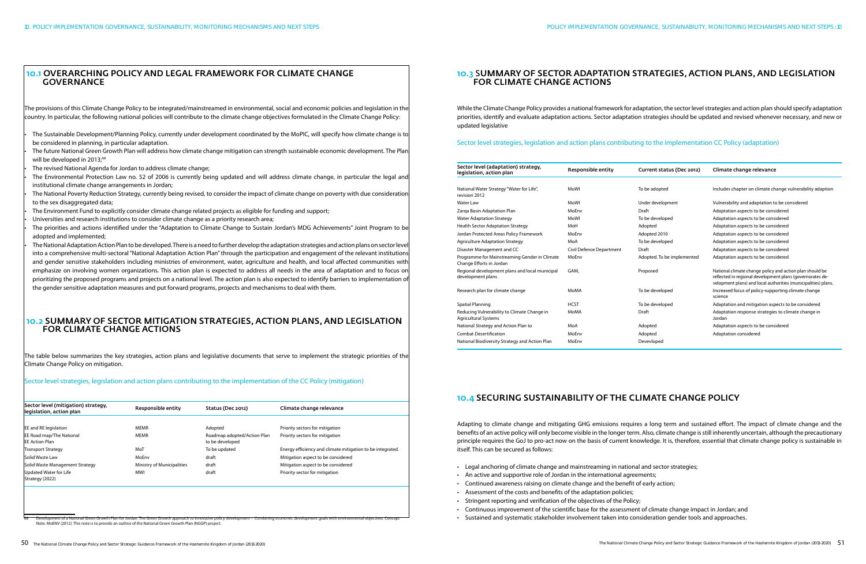### 10.1 Overarching policy and legal framework for climate change **GOVERNANCE**

The Sustainable Development/Planning Policy, currently under development coordinated by the MoPIC, will specify how climate change is to be considered in planning, in particular adaptation.

The future National Green Growth Plan will address how climate change mitigation can strength sustainable economic development. The Plan will be developed in 2013;<sup>68</sup>

The revised National Agenda for Jordan to address climate change;

The provisions of this Climate Change Policy to be integrated/mainstreamed in environmental, social and economic policies and legislation in the country. In particular, the following national policies will contribute to the climate change objectives formulated in the Climate Change Policy:

The Environmental Protection Law no. 52 of 2006 is currently being updated and will address climate change, in particular the legal and institutional climate change arrangements in Jordan;

The National Poverty Reduction Strategy, currently being revised, to consider the impact of climate change on poverty with due consideration to the sex disaggregated data;

The Environment Fund to explicitly consider climate change related projects as eligible for funding and support;

Universities and research institutions to consider climate change as a priority research area;

The priorities and actions identified under the "Adaptation to Climate Change to Sustain Jordan's MDG Achievements" Joint Program to be adopted and implemented;

The National Adaptation Action Plan to be developed. There is a need to further develop the adaptation strategies and action plans on sector leve into a comprehensive multi-sectoral "National Adaptation Action Plan" through the participation and engagement of the relevant institutions and gender sensitive stakeholders including ministries of environment, water, agriculture and health, and local affected communities with emphasize on involving women organizations. This action plan is expected to address all needs in the area of adaptation and to focus on prioritizing the proposed programs and projects on a national level. The action plan is also expected to identify barriers to implementation of the gender sensitive adaptation measures and put forward programs, projects and mechanisms to deal with them.

### 10.2 Summary of sector mitigation strategies, action plans, and legislation for climate change actions

The table below summarizes the key strategies, action plans and legislative documents that serve to implement the strategic priorities of the Climate Change Policy on mitigation.

Sector level strategies, legislation and action plans contributing to the implementation of the CC Policy (mitigation)

| Sector level (mitigation) strategy,<br>legislation, action plan | Responsible entity                | Status (Dec 2012)                              | Climate change relevance                                   |
|-----------------------------------------------------------------|-----------------------------------|------------------------------------------------|------------------------------------------------------------|
|                                                                 |                                   |                                                |                                                            |
| <b>EE</b> and RE legislation                                    | <b>MEMR</b>                       | Adopted                                        | Priority sectors for mitigation                            |
| <b>EE Road map/The National</b><br><b>EE Action Plan</b>        | <b>MEMR</b>                       | Roadmap adopted/Action Plan<br>to be developed | Priority sectors for mitigation                            |
| <b>Transport Strategy</b>                                       | MoT                               | To be updated                                  | Energy efficiency and climate mitigation to be integrated. |
| Solid Waste Law                                                 | MoEnv                             | draft                                          | Mitigation aspect to be considered                         |
| Solid Waste Management Strategy                                 | <b>Ministry of Municipalities</b> | draft                                          | Mitigation aspect to be considered                         |
| Updated Water for Life<br>Strategy (2022)                       | MWI                               | draft                                          | Priority sector for mitigation                             |

## 10.3 Summary of sector adaptation strategies, action plans, and legislatioN for climate change actions

While the Climate Change Policy provides a national framework for adaptation, the sector level strategies and action plan should specify adaptation priorities, identify and evaluate adaptation actions. Sector adaptation strategies should be updated and revised whenever necessary, and new or updated legislative

#### Sector level strategies, legislation and action plans contributing to the implementation CC Policy (adaptation)

| Sector level (adaptation) strategy,<br>legislation, action plan            | Responsible entity       | Current status (Dec 2012)  | Climate change relevance                                                                                                                                                                |
|----------------------------------------------------------------------------|--------------------------|----------------------------|-----------------------------------------------------------------------------------------------------------------------------------------------------------------------------------------|
|                                                                            |                          |                            |                                                                                                                                                                                         |
| National Water Strategy "Water for Life",<br>revision 2012                 | MoWl                     | To be adopted              | Includes chapter on climate change vulnerability adaption                                                                                                                               |
| Water Law                                                                  | <b>MoWI</b>              | Under development          | Vulnerability and adaptation to be considered                                                                                                                                           |
| Zarga Basin Adaptation Plan                                                | MoEnv                    | Draft                      | Adaptation aspects to be considered                                                                                                                                                     |
| <b>Water Adaptation Strategy</b>                                           | MoWl                     | To be developed            | Adaptation aspects to be considered                                                                                                                                                     |
| <b>Health Sector Adaptation Strategy</b>                                   | MoH                      | Adopted                    | Adaptation aspects to be considered                                                                                                                                                     |
| Jordan Protected Areas Policy Framework                                    | MoEnv                    | Adopted 2010               | Adaptation aspects to be considered                                                                                                                                                     |
| <b>Agriculture Adaptation Strategy</b>                                     | MoA                      | To be developed            | Adaptation aspects to be considered                                                                                                                                                     |
| Disaster Management and CC                                                 | Civil Defence Department | Draft                      | Adaptation aspects to be considered                                                                                                                                                     |
| Programme for Mainstreaming Gender in Climate<br>Change Efforts in Jordan  | MoEnv                    | Adopted. To be implemented | Adaptation aspects to be considered                                                                                                                                                     |
| Regional development plans and local municipal<br>development plans        | GAM.                     | Proposed                   | National climate change policy and action plan should be<br>reflected in regional development plans (governorates de-<br>velopment plans) and local authorities (municipalities) plans. |
| Research plan for climate change                                           | <b>MoMA</b>              | To be developed            | Increased focus of policy-supporting climate change<br>science                                                                                                                          |
| Spatial Planning                                                           | <b>HCST</b>              | To be developed            | Adaptation and mitigation aspects to be considered                                                                                                                                      |
| Reducing Vulnerability to Climate Change in<br><b>Agricultural Systems</b> | <b>MoMA</b>              | Draft                      | Adaptation response strategies to climate change in<br>Jordan                                                                                                                           |
| National Strategy and Action Plan to                                       | MoA                      | Adopted                    | Adaptation aspects to be considered                                                                                                                                                     |
| <b>Combat Desertification</b>                                              | MoEnv                    | Adopted                    | Adaptation considered                                                                                                                                                                   |
| National Biodiversity Strategy and Action Plan                             | MoEnv                    | Devevloped                 |                                                                                                                                                                                         |
|                                                                            |                          |                            |                                                                                                                                                                                         |

# 10.4 Securing sustainability of the Climate Change Policy

Adapting to climate change and mitigating GHG emissions requires a long term and sustained effort. The impact of climate change and the benefits of an active policy will only become visible in the longer term. Also, climate change is still inherently uncertain, although the precautionary principle requires the GoJ to pro-act now on the basis of current knowledge. It is, therefore, essential that climate change policy is sustainable in itself. This can be secured as follows:

- Legal anchoring of climate change and mainstreaming in national and sector strategies;
- An active and supportive role of Jordan in the international agreements;
- Continued awareness raising on climate change and the benefit of early action;
- • Assessment of the costs and benefits of the adaptation policies;
- • Stringent reporting and verification of the objectives of the Policy;
- • Continuous improvement of the scientific base for the assessment of climate change impact in Jordan; and
- · Sustained and systematic stakeholder involvement taken into consideration gender tools and approaches.

Note. MoENV (2012). This note is to provide an outline of the National Green Growth Plan (NGGP) project.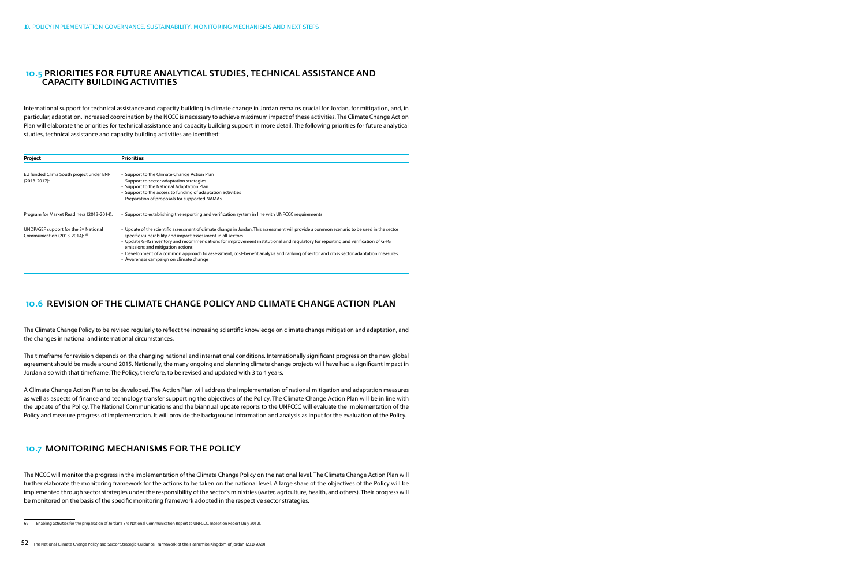#### 10.5 Priorities for future analytical studies, technical assistance and capacity building activities

International support for technical assistance and capacity building in climate change in Jordan remains crucial for Jordan, for mitigation, and, in particular, adaptation. Increased coordination by the NCCC is necessary to achieve maximum impact of these activities. The Climate Change Action Plan will elaborate the priorities for technical assistance and capacity building support in more detail. The following priorities for future analytical studies, technical assistance and capacity building activities are identified:

| Project                                                                | <b>Priorities</b>                                                                                                                                                                                                                                                                                                                                                                                                                                                                                                                                               |
|------------------------------------------------------------------------|-----------------------------------------------------------------------------------------------------------------------------------------------------------------------------------------------------------------------------------------------------------------------------------------------------------------------------------------------------------------------------------------------------------------------------------------------------------------------------------------------------------------------------------------------------------------|
| EU funded Clima South project under ENPI<br>$(2013 - 2017)$ :          | - Support to the Climate Change Action Plan<br>- Support to sector adaptation strategies<br>- Support to the National Adaptation Plan<br>- Support to the access to funding of adaptation activities<br>- Preparation of proposals for supported NAMAs                                                                                                                                                                                                                                                                                                          |
| Program for Market Readiness (2013-2014):                              | - Support to establishing the reporting and verification system in line with UNFCCC requirements                                                                                                                                                                                                                                                                                                                                                                                                                                                                |
| UNDP/GEF support for the 3rd National<br>Communication (2013-2014): 69 | - Update of the scientific assessment of climate change in Jordan. This assessment will provide a common scenario to be used in the sector<br>specific vulnerability and impact assessment in all sectors<br>- Update GHG inventory and recommendations for improvement institutional and regulatory for reporting and verification of GHG<br>emissions and mitigation actions<br>- Development of a common approach to assessment, cost-benefit analysis and ranking of sector and cross sector adaptation measures.<br>- Awareness campaign on climate change |

### 10.6 Revision of the Climate Change Policy and Climate Change Action Plan

The Climate Change Policy to be revised regularly to reflect the increasing scientific knowledge on climate change mitigation and adaptation, and the changes in national and international circumstances.

The timeframe for revision depends on the changing national and international conditions. Internationally significant progress on the new global agreement should be made around 2015. Nationally, the many ongoing and planning climate change projects will have had a significant impact in Jordan also with that timeframe. The Policy, therefore, to be revised and updated with 3 to 4 years.

A Climate Change Action Plan to be developed. The Action Plan will address the implementation of national mitigation and adaptation measures as well as aspects of finance and technology transfer supporting the objectives of the Policy. The Climate Change Action Plan will be in line with the update of the Policy. The National Communications and the biannual update reports to the UNFCCC will evaluate the implementation of the Policy and measure progress of implementation. It will provide the background information and analysis as input for the evaluation of the Policy.

### 10.7 MONITORING MECHANISMS FOR THE POLICY

The NCCC will monitor the progress in the implementation of the Climate Change Policy on the national level. The Climate Change Action Plan will further elaborate the monitoring framework for the actions to be taken on the national level. A large share of the objectives of the Policy will be implemented through sector strategies under the responsibility of the sector's ministries (water, agriculture, health, and others). Their progress will be monitored on the basis of the specific monitoring framework adopted in the respective sector strategies.

<sup>69</sup> Enabling activities for the preparation of Jordan's 3rd National Communication Report to UNFCCC. Inception Report (July 2012).